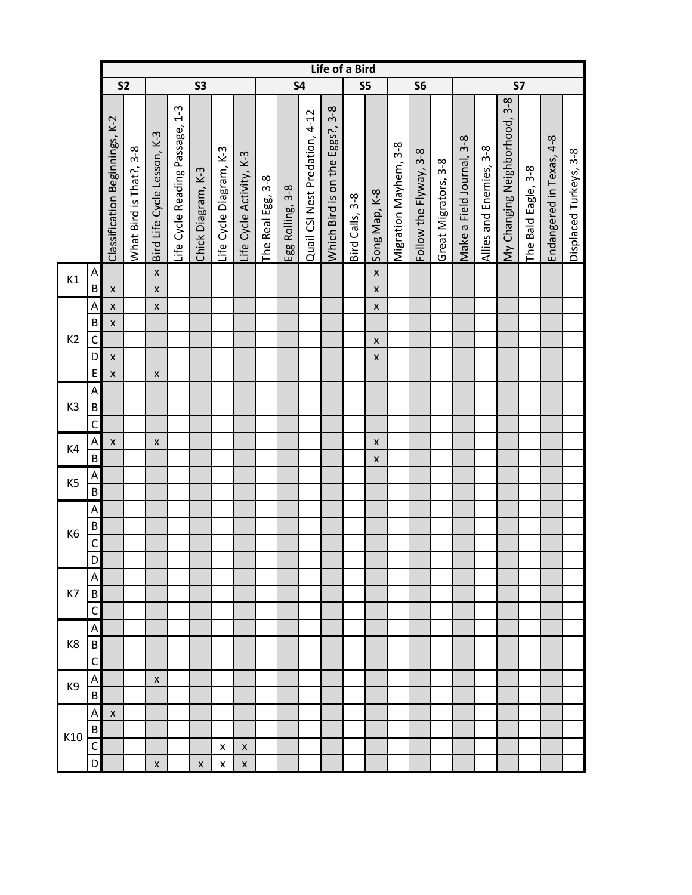|                |                |                                |                         |                             |                                      |                    |                         |                          |                          |                  |                                | Life of a Bird                         |                 |                    |                       |                        |                      |                           |                         |                               |                            |                          |                        |
|----------------|----------------|--------------------------------|-------------------------|-----------------------------|--------------------------------------|--------------------|-------------------------|--------------------------|--------------------------|------------------|--------------------------------|----------------------------------------|-----------------|--------------------|-----------------------|------------------------|----------------------|---------------------------|-------------------------|-------------------------------|----------------------------|--------------------------|------------------------|
|                |                | <b>S2</b>                      |                         |                             |                                      | <b>S3</b>          |                         |                          |                          | <b>S4</b>        |                                |                                        | S5              |                    |                       | S <sub>6</sub>         |                      |                           |                         | <b>S7</b>                     |                            |                          |                        |
|                |                | Classification Beginnings, K-2 | What Bird is That?, 3-8 | Bird Life Cycle Lesson, K-3 | $1-3$<br>Life Cycle Reading Passage, | Chick Diagram, K-3 | Life Cycle Diagram, K-3 | Life Cycle Activity, K-3 | $3 - 8$<br>The Real Egg, | Egg Rolling, 3-8 | Quail CSI Nest Predation, 4-12 | $3 - 8$<br>Which Bird is on the Eggs?, | Bird Calls, 3-8 | Song Map, K-8      | Migration Mayhem, 3-8 | Follow the Flyway, 3-8 | Great Migrators, 3-8 | Make a Field Journal, 3-8 | Allies and Enemies, 3-8 | My Changing Neighborhood, 3-8 | $3 - 8$<br>The Bald Eagle, | Endangered in Texas, 4-8 | Displaced Turkeys, 3-8 |
| K1             | A              |                                |                         | $\pmb{\mathsf{X}}$          |                                      |                    |                         |                          |                          |                  |                                |                                        |                 | $\pmb{\mathsf{X}}$ |                       |                        |                      |                           |                         |                               |                            |                          |                        |
|                | $\overline{B}$ | $\pmb{\mathsf{X}}$             |                         | $\pmb{\times}$              |                                      |                    |                         |                          |                          |                  |                                |                                        |                 | $\pmb{\mathsf{X}}$ |                       |                        |                      |                           |                         |                               |                            |                          |                        |
|                | A              | $\pmb{\mathsf{X}}$             |                         | $\pmb{\mathsf{x}}$          |                                      |                    |                         |                          |                          |                  |                                |                                        |                 | $\pmb{\mathsf{x}}$ |                       |                        |                      |                           |                         |                               |                            |                          |                        |
|                | B              | $\pmb{\mathsf{X}}$             |                         |                             |                                      |                    |                         |                          |                          |                  |                                |                                        |                 |                    |                       |                        |                      |                           |                         |                               |                            |                          |                        |
| K <sub>2</sub> | $\mathsf C$    |                                |                         |                             |                                      |                    |                         |                          |                          |                  |                                |                                        |                 | $\pmb{\times}$     |                       |                        |                      |                           |                         |                               |                            |                          |                        |
|                | D              | $\pmb{\mathsf{X}}$             |                         |                             |                                      |                    |                         |                          |                          |                  |                                |                                        |                 | $\pmb{\mathsf{X}}$ |                       |                        |                      |                           |                         |                               |                            |                          |                        |
|                | E              | $\pmb{\mathsf{X}}$             |                         | $\pmb{\times}$              |                                      |                    |                         |                          |                          |                  |                                |                                        |                 |                    |                       |                        |                      |                           |                         |                               |                            |                          |                        |
|                | A              |                                |                         |                             |                                      |                    |                         |                          |                          |                  |                                |                                        |                 |                    |                       |                        |                      |                           |                         |                               |                            |                          |                        |
| K <sub>3</sub> | $\sf B$        |                                |                         |                             |                                      |                    |                         |                          |                          |                  |                                |                                        |                 |                    |                       |                        |                      |                           |                         |                               |                            |                          |                        |
|                | $\mathsf{C}$   |                                |                         |                             |                                      |                    |                         |                          |                          |                  |                                |                                        |                 |                    |                       |                        |                      |                           |                         |                               |                            |                          |                        |
| K4             | A              | $\pmb{\mathsf{X}}$             |                         | $\pmb{\times}$              |                                      |                    |                         |                          |                          |                  |                                |                                        |                 | $\pmb{\times}$     |                       |                        |                      |                           |                         |                               |                            |                          |                        |
|                | $\sf B$        |                                |                         |                             |                                      |                    |                         |                          |                          |                  |                                |                                        |                 | $\pmb{\times}$     |                       |                        |                      |                           |                         |                               |                            |                          |                        |
| K5             | A              |                                |                         |                             |                                      |                    |                         |                          |                          |                  |                                |                                        |                 |                    |                       |                        |                      |                           |                         |                               |                            |                          |                        |
|                | $\overline{B}$ |                                |                         |                             |                                      |                    |                         |                          |                          |                  |                                |                                        |                 |                    |                       |                        |                      |                           |                         |                               |                            |                          |                        |
|                | A              |                                |                         |                             |                                      |                    |                         |                          |                          |                  |                                |                                        |                 |                    |                       |                        |                      |                           |                         |                               |                            |                          |                        |
| K <sub>6</sub> | $\sf B$        |                                |                         |                             |                                      |                    |                         |                          |                          |                  |                                |                                        |                 |                    |                       |                        |                      |                           |                         |                               |                            |                          |                        |
|                | $\mathsf{C}$   |                                |                         |                             |                                      |                    |                         |                          |                          |                  |                                |                                        |                 |                    |                       |                        |                      |                           |                         |                               |                            |                          |                        |
|                | $\overline{D}$ |                                |                         |                             |                                      |                    |                         |                          |                          |                  |                                |                                        |                 |                    |                       |                        |                      |                           |                         |                               |                            |                          |                        |
|                | Α              |                                |                         |                             |                                      |                    |                         |                          |                          |                  |                                |                                        |                 |                    |                       |                        |                      |                           |                         |                               |                            |                          |                        |
| K7             | B              |                                |                         |                             |                                      |                    |                         |                          |                          |                  |                                |                                        |                 |                    |                       |                        |                      |                           |                         |                               |                            |                          |                        |
|                | C              |                                |                         |                             |                                      |                    |                         |                          |                          |                  |                                |                                        |                 |                    |                       |                        |                      |                           |                         |                               |                            |                          |                        |
|                | A              |                                |                         |                             |                                      |                    |                         |                          |                          |                  |                                |                                        |                 |                    |                       |                        |                      |                           |                         |                               |                            |                          |                        |
| K <sub>8</sub> | $\sf B$        |                                |                         |                             |                                      |                    |                         |                          |                          |                  |                                |                                        |                 |                    |                       |                        |                      |                           |                         |                               |                            |                          |                        |
|                | C              |                                |                         |                             |                                      |                    |                         |                          |                          |                  |                                |                                        |                 |                    |                       |                        |                      |                           |                         |                               |                            |                          |                        |
| K9             | Α              |                                |                         | x                           |                                      |                    |                         |                          |                          |                  |                                |                                        |                 |                    |                       |                        |                      |                           |                         |                               |                            |                          |                        |
|                | B              |                                |                         |                             |                                      |                    |                         |                          |                          |                  |                                |                                        |                 |                    |                       |                        |                      |                           |                         |                               |                            |                          |                        |
|                | A              | X                              |                         |                             |                                      |                    |                         |                          |                          |                  |                                |                                        |                 |                    |                       |                        |                      |                           |                         |                               |                            |                          |                        |
| K10            | B              |                                |                         |                             |                                      |                    |                         |                          |                          |                  |                                |                                        |                 |                    |                       |                        |                      |                           |                         |                               |                            |                          |                        |
|                | C              |                                |                         |                             |                                      |                    | x                       | X                        |                          |                  |                                |                                        |                 |                    |                       |                        |                      |                           |                         |                               |                            |                          |                        |
|                | D              |                                |                         | X                           |                                      | $\pmb{\mathsf{X}}$ | x                       | $\pmb{\mathsf{X}}$       |                          |                  |                                |                                        |                 |                    |                       |                        |                      |                           |                         |                               |                            |                          |                        |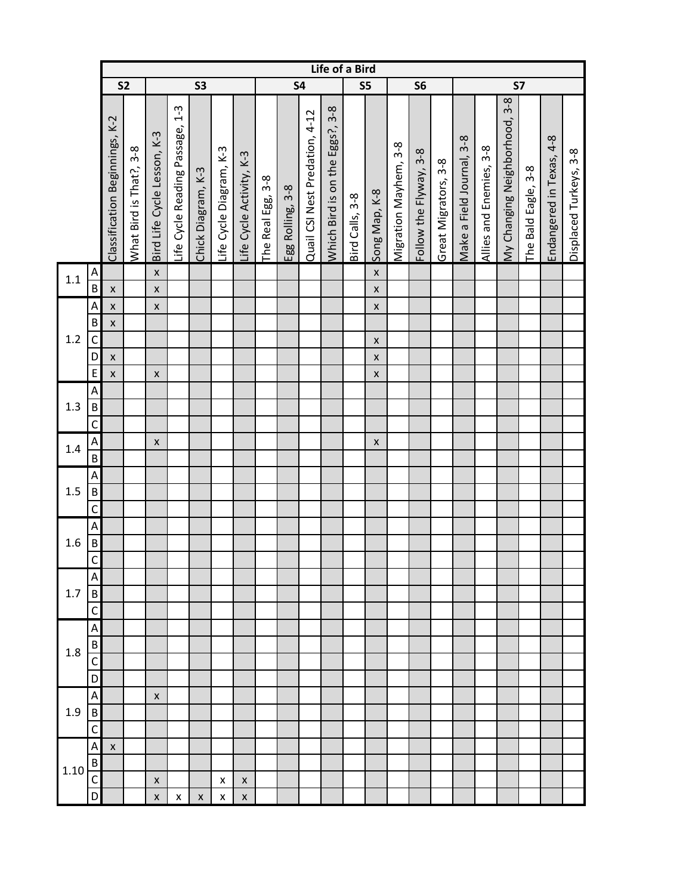|         |                         |                                |                         |                             |                                        |                    |                         |                          |                          |                  |                                | Life of a Bird                         |                 |                    |                       |                        |                      |                           |                         |                               |                          |                          |                        |
|---------|-------------------------|--------------------------------|-------------------------|-----------------------------|----------------------------------------|--------------------|-------------------------|--------------------------|--------------------------|------------------|--------------------------------|----------------------------------------|-----------------|--------------------|-----------------------|------------------------|----------------------|---------------------------|-------------------------|-------------------------------|--------------------------|--------------------------|------------------------|
|         |                         | S <sub>2</sub>                 |                         |                             |                                        | S3                 |                         |                          |                          | <b>S4</b>        |                                |                                        | S5              |                    |                       | S <sub>6</sub>         |                      |                           |                         | <b>S7</b>                     |                          |                          |                        |
|         |                         | Classification Beginnings, K-2 | What Bird is That?, 3-8 | Bird Life Cycle Lesson, K-3 | $1 - 3$<br>Life Cycle Reading Passage, | Chick Diagram, K-3 | Life Cycle Diagram, K-3 | Life Cycle Activity, K-3 | $3 - 8$<br>The Real Egg, | Egg Rolling, 3-8 | Quail CSI Nest Predation, 4-12 | $3 - 8$<br>Which Bird is on the Eggs?, | Bird Calls, 3-8 | Song Map, K-8      | Migration Mayhem, 3-8 | Follow the Flyway, 3-8 | Great Migrators, 3-8 | Make a Field Journal, 3-8 | Allies and Enemies, 3-8 | My Changing Neighborhood, 3-8 | $3-8$<br>The Bald Eagle, | Endangered in Texas, 4-8 | Displaced Turkeys, 3-8 |
| 1.1     | A                       |                                |                         | $\pmb{\mathsf{X}}$          |                                        |                    |                         |                          |                          |                  |                                |                                        |                 | $\pmb{\mathsf{X}}$ |                       |                        |                      |                           |                         |                               |                          |                          |                        |
|         | $\overline{\mathsf{B}}$ | $\pmb{\mathsf{X}}$             |                         | $\pmb{\mathsf{x}}$          |                                        |                    |                         |                          |                          |                  |                                |                                        |                 | $\pmb{\mathsf{X}}$ |                       |                        |                      |                           |                         |                               |                          |                          |                        |
|         | A                       | $\pmb{\mathsf{X}}$             |                         | $\pmb{\mathsf{x}}$          |                                        |                    |                         |                          |                          |                  |                                |                                        |                 | $\pmb{\mathsf{x}}$ |                       |                        |                      |                           |                         |                               |                          |                          |                        |
|         | B                       | $\pmb{\mathsf{X}}$             |                         |                             |                                        |                    |                         |                          |                          |                  |                                |                                        |                 |                    |                       |                        |                      |                           |                         |                               |                          |                          |                        |
| $1.2\,$ | $\mathsf{C}$            |                                |                         |                             |                                        |                    |                         |                          |                          |                  |                                |                                        |                 | $\pmb{\mathsf{X}}$ |                       |                        |                      |                           |                         |                               |                          |                          |                        |
|         | D                       | $\pmb{\mathsf{X}}$             |                         |                             |                                        |                    |                         |                          |                          |                  |                                |                                        |                 | $\pmb{\mathsf{X}}$ |                       |                        |                      |                           |                         |                               |                          |                          |                        |
|         | $\mathsf E$             | $\pmb{\mathsf{X}}$             |                         | $\pmb{\mathsf{x}}$          |                                        |                    |                         |                          |                          |                  |                                |                                        |                 | $\pmb{\mathsf{X}}$ |                       |                        |                      |                           |                         |                               |                          |                          |                        |
| 1.3     | A                       |                                |                         |                             |                                        |                    |                         |                          |                          |                  |                                |                                        |                 |                    |                       |                        |                      |                           |                         |                               |                          |                          |                        |
|         | $\sf B$                 |                                |                         |                             |                                        |                    |                         |                          |                          |                  |                                |                                        |                 |                    |                       |                        |                      |                           |                         |                               |                          |                          |                        |
|         | $\mathsf C$             |                                |                         |                             |                                        |                    |                         |                          |                          |                  |                                |                                        |                 |                    |                       |                        |                      |                           |                         |                               |                          |                          |                        |
|         | A                       |                                |                         | $\pmb{\mathsf{x}}$          |                                        |                    |                         |                          |                          |                  |                                |                                        |                 | $\pmb{\times}$     |                       |                        |                      |                           |                         |                               |                          |                          |                        |
| $1.4\,$ | $\overline{B}$          |                                |                         |                             |                                        |                    |                         |                          |                          |                  |                                |                                        |                 |                    |                       |                        |                      |                           |                         |                               |                          |                          |                        |
|         | A                       |                                |                         |                             |                                        |                    |                         |                          |                          |                  |                                |                                        |                 |                    |                       |                        |                      |                           |                         |                               |                          |                          |                        |
| 1.5     | $\sf B$                 |                                |                         |                             |                                        |                    |                         |                          |                          |                  |                                |                                        |                 |                    |                       |                        |                      |                           |                         |                               |                          |                          |                        |
|         | $\overline{C}$          |                                |                         |                             |                                        |                    |                         |                          |                          |                  |                                |                                        |                 |                    |                       |                        |                      |                           |                         |                               |                          |                          |                        |
|         | A                       |                                |                         |                             |                                        |                    |                         |                          |                          |                  |                                |                                        |                 |                    |                       |                        |                      |                           |                         |                               |                          |                          |                        |
| 1.6     | $\sf B$                 |                                |                         |                             |                                        |                    |                         |                          |                          |                  |                                |                                        |                 |                    |                       |                        |                      |                           |                         |                               |                          |                          |                        |
|         | $\mathsf{C}$            |                                |                         |                             |                                        |                    |                         |                          |                          |                  |                                |                                        |                 |                    |                       |                        |                      |                           |                         |                               |                          |                          |                        |
|         | A                       |                                |                         |                             |                                        |                    |                         |                          |                          |                  |                                |                                        |                 |                    |                       |                        |                      |                           |                         |                               |                          |                          |                        |
| 1.7     | B                       |                                |                         |                             |                                        |                    |                         |                          |                          |                  |                                |                                        |                 |                    |                       |                        |                      |                           |                         |                               |                          |                          |                        |
|         | C                       |                                |                         |                             |                                        |                    |                         |                          |                          |                  |                                |                                        |                 |                    |                       |                        |                      |                           |                         |                               |                          |                          |                        |
|         | A                       |                                |                         |                             |                                        |                    |                         |                          |                          |                  |                                |                                        |                 |                    |                       |                        |                      |                           |                         |                               |                          |                          |                        |
| 1.8     | B                       |                                |                         |                             |                                        |                    |                         |                          |                          |                  |                                |                                        |                 |                    |                       |                        |                      |                           |                         |                               |                          |                          |                        |
|         | C<br>D                  |                                |                         |                             |                                        |                    |                         |                          |                          |                  |                                |                                        |                 |                    |                       |                        |                      |                           |                         |                               |                          |                          |                        |
|         |                         |                                |                         |                             |                                        |                    |                         |                          |                          |                  |                                |                                        |                 |                    |                       |                        |                      |                           |                         |                               |                          |                          |                        |
| 1.9     | A<br>$\mathsf B$        |                                |                         | $\pmb{\times}$              |                                        |                    |                         |                          |                          |                  |                                |                                        |                 |                    |                       |                        |                      |                           |                         |                               |                          |                          |                        |
|         | $\mathsf{C}$            |                                |                         |                             |                                        |                    |                         |                          |                          |                  |                                |                                        |                 |                    |                       |                        |                      |                           |                         |                               |                          |                          |                        |
|         | A                       | $\pmb{\mathsf{X}}$             |                         |                             |                                        |                    |                         |                          |                          |                  |                                |                                        |                 |                    |                       |                        |                      |                           |                         |                               |                          |                          |                        |
|         | $\sf B$                 |                                |                         |                             |                                        |                    |                         |                          |                          |                  |                                |                                        |                 |                    |                       |                        |                      |                           |                         |                               |                          |                          |                        |
| 1.10    | C                       |                                |                         | $\pmb{\mathsf{X}}$          |                                        |                    | $\pmb{\mathsf{x}}$      | $\pmb{\times}$           |                          |                  |                                |                                        |                 |                    |                       |                        |                      |                           |                         |                               |                          |                          |                        |
|         | D                       |                                |                         | $\pmb{\mathsf{X}}$          | X                                      | $\pmb{\mathsf{X}}$ | $\pmb{\mathsf{X}}$      | $\pmb{\mathsf{X}}$       |                          |                  |                                |                                        |                 |                    |                       |                        |                      |                           |                         |                               |                          |                          |                        |
|         |                         |                                |                         |                             |                                        |                    |                         |                          |                          |                  |                                |                                        |                 |                    |                       |                        |                      |                           |                         |                               |                          |                          |                        |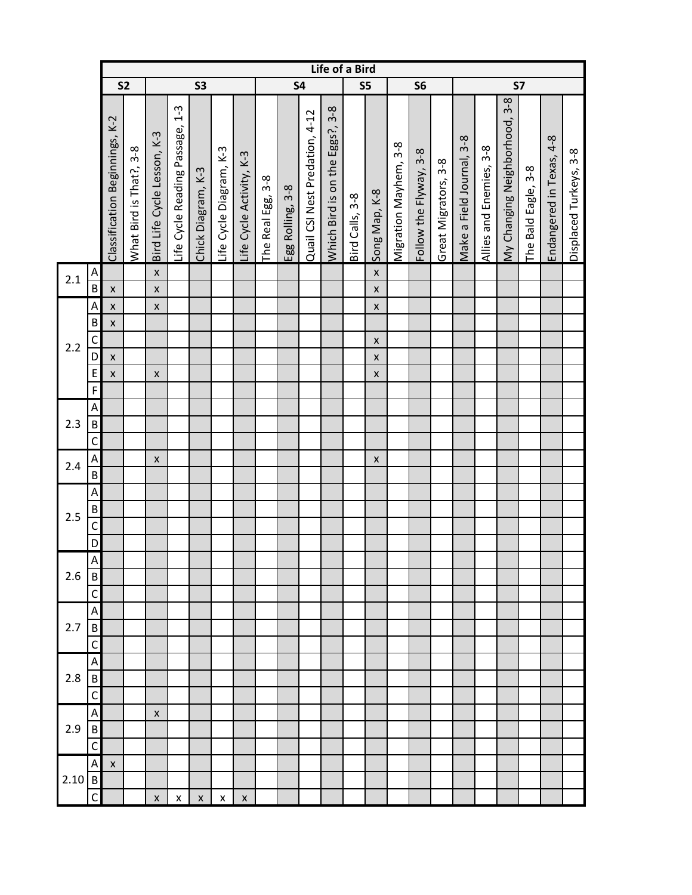|       |                           |                                |                         |                             |                                        |                    |                         | Life of a Bird           |                          |                  |                                |                                        |                 |                    |                       |                        |                      |                           |                         |                               |                          |                          |                        |
|-------|---------------------------|--------------------------------|-------------------------|-----------------------------|----------------------------------------|--------------------|-------------------------|--------------------------|--------------------------|------------------|--------------------------------|----------------------------------------|-----------------|--------------------|-----------------------|------------------------|----------------------|---------------------------|-------------------------|-------------------------------|--------------------------|--------------------------|------------------------|
|       |                           | S <sub>2</sub>                 |                         |                             |                                        | S3                 |                         |                          |                          | <b>S4</b>        |                                |                                        |                 | S5                 |                       | S <sub>6</sub>         |                      |                           |                         | <b>S7</b>                     |                          |                          |                        |
|       |                           | Classification Beginnings, K-2 | What Bird is That?, 3-8 | Bird Life Cycle Lesson, K-3 | $1 - 3$<br>Life Cycle Reading Passage, | Chick Diagram, K-3 | Life Cycle Diagram, K-3 | Life Cycle Activity, K-3 | $3 - 8$<br>The Real Egg, | Egg Rolling, 3-8 | Quail CSI Nest Predation, 4-12 | $3 - 8$<br>Which Bird is on the Eggs?, | Bird Calls, 3-8 | Song Map, K-8      | Migration Mayhem, 3-8 | Follow the Flyway, 3-8 | Great Migrators, 3-8 | Make a Field Journal, 3-8 | Allies and Enemies, 3-8 | My Changing Neighborhood, 3-8 | $3-8$<br>The Bald Eagle, | Endangered in Texas, 4-8 | Displaced Turkeys, 3-8 |
| 2.1   | A                         |                                |                         | $\pmb{\mathsf{X}}$          |                                        |                    |                         |                          |                          |                  |                                |                                        |                 | $\pmb{\mathsf{X}}$ |                       |                        |                      |                           |                         |                               |                          |                          |                        |
|       | $\overline{B}$            | $\pmb{\mathsf{X}}$             |                         | $\pmb{\mathsf{x}}$          |                                        |                    |                         |                          |                          |                  |                                |                                        |                 | $\pmb{\mathsf{X}}$ |                       |                        |                      |                           |                         |                               |                          |                          |                        |
|       | A                         | $\pmb{\mathsf{X}}$             |                         | $\pmb{\mathsf{x}}$          |                                        |                    |                         |                          |                          |                  |                                |                                        |                 | $\pmb{\mathsf{x}}$ |                       |                        |                      |                           |                         |                               |                          |                          |                        |
|       | B                         | $\pmb{\mathsf{x}}$             |                         |                             |                                        |                    |                         |                          |                          |                  |                                |                                        |                 |                    |                       |                        |                      |                           |                         |                               |                          |                          |                        |
| 2.2   | C                         |                                |                         |                             |                                        |                    |                         |                          |                          |                  |                                |                                        |                 | $\pmb{\mathsf{X}}$ |                       |                        |                      |                           |                         |                               |                          |                          |                        |
|       | D                         | $\pmb{\mathsf{X}}$             |                         |                             |                                        |                    |                         |                          |                          |                  |                                |                                        |                 | $\pmb{\mathsf{X}}$ |                       |                        |                      |                           |                         |                               |                          |                          |                        |
|       | E                         | $\pmb{\mathsf{X}}$             |                         | $\pmb{\mathsf{x}}$          |                                        |                    |                         |                          |                          |                  |                                |                                        |                 | $\pmb{\mathsf{x}}$ |                       |                        |                      |                           |                         |                               |                          |                          |                        |
|       | $\overline{F}$            |                                |                         |                             |                                        |                    |                         |                          |                          |                  |                                |                                        |                 |                    |                       |                        |                      |                           |                         |                               |                          |                          |                        |
|       | A                         |                                |                         |                             |                                        |                    |                         |                          |                          |                  |                                |                                        |                 |                    |                       |                        |                      |                           |                         |                               |                          |                          |                        |
| $2.3$ | $\sf B$                   |                                |                         |                             |                                        |                    |                         |                          |                          |                  |                                |                                        |                 |                    |                       |                        |                      |                           |                         |                               |                          |                          |                        |
|       | $\mathsf{C}$              |                                |                         |                             |                                        |                    |                         |                          |                          |                  |                                |                                        |                 |                    |                       |                        |                      |                           |                         |                               |                          |                          |                        |
|       | A                         |                                |                         | $\pmb{\times}$              |                                        |                    |                         |                          |                          |                  |                                |                                        |                 | $\pmb{\mathsf{X}}$ |                       |                        |                      |                           |                         |                               |                          |                          |                        |
| 2.4   | $\sf B$                   |                                |                         |                             |                                        |                    |                         |                          |                          |                  |                                |                                        |                 |                    |                       |                        |                      |                           |                         |                               |                          |                          |                        |
|       | A                         |                                |                         |                             |                                        |                    |                         |                          |                          |                  |                                |                                        |                 |                    |                       |                        |                      |                           |                         |                               |                          |                          |                        |
|       | $\sf B$                   |                                |                         |                             |                                        |                    |                         |                          |                          |                  |                                |                                        |                 |                    |                       |                        |                      |                           |                         |                               |                          |                          |                        |
| 2.5   | $\mathsf C$               |                                |                         |                             |                                        |                    |                         |                          |                          |                  |                                |                                        |                 |                    |                       |                        |                      |                           |                         |                               |                          |                          |                        |
|       | D                         |                                |                         |                             |                                        |                    |                         |                          |                          |                  |                                |                                        |                 |                    |                       |                        |                      |                           |                         |                               |                          |                          |                        |
|       | $\boldsymbol{\mathsf{A}}$ |                                |                         |                             |                                        |                    |                         |                          |                          |                  |                                |                                        |                 |                    |                       |                        |                      |                           |                         |                               |                          |                          |                        |
| 2.6   | B                         |                                |                         |                             |                                        |                    |                         |                          |                          |                  |                                |                                        |                 |                    |                       |                        |                      |                           |                         |                               |                          |                          |                        |
|       | C                         |                                |                         |                             |                                        |                    |                         |                          |                          |                  |                                |                                        |                 |                    |                       |                        |                      |                           |                         |                               |                          |                          |                        |
|       | A                         |                                |                         |                             |                                        |                    |                         |                          |                          |                  |                                |                                        |                 |                    |                       |                        |                      |                           |                         |                               |                          |                          |                        |
| 2.7   | B                         |                                |                         |                             |                                        |                    |                         |                          |                          |                  |                                |                                        |                 |                    |                       |                        |                      |                           |                         |                               |                          |                          |                        |
|       | C                         |                                |                         |                             |                                        |                    |                         |                          |                          |                  |                                |                                        |                 |                    |                       |                        |                      |                           |                         |                               |                          |                          |                        |
|       | A                         |                                |                         |                             |                                        |                    |                         |                          |                          |                  |                                |                                        |                 |                    |                       |                        |                      |                           |                         |                               |                          |                          |                        |
| 2.8   | $\mathsf B$               |                                |                         |                             |                                        |                    |                         |                          |                          |                  |                                |                                        |                 |                    |                       |                        |                      |                           |                         |                               |                          |                          |                        |
|       | C                         |                                |                         |                             |                                        |                    |                         |                          |                          |                  |                                |                                        |                 |                    |                       |                        |                      |                           |                         |                               |                          |                          |                        |
|       | Α                         |                                |                         | $\pmb{\times}$              |                                        |                    |                         |                          |                          |                  |                                |                                        |                 |                    |                       |                        |                      |                           |                         |                               |                          |                          |                        |
| 2.9   | $\sf B$                   |                                |                         |                             |                                        |                    |                         |                          |                          |                  |                                |                                        |                 |                    |                       |                        |                      |                           |                         |                               |                          |                          |                        |
|       | $\mathsf{C}$              |                                |                         |                             |                                        |                    |                         |                          |                          |                  |                                |                                        |                 |                    |                       |                        |                      |                           |                         |                               |                          |                          |                        |
|       | A                         | X                              |                         |                             |                                        |                    |                         |                          |                          |                  |                                |                                        |                 |                    |                       |                        |                      |                           |                         |                               |                          |                          |                        |
| 2.10  | $\overline{B}$            |                                |                         |                             |                                        |                    |                         |                          |                          |                  |                                |                                        |                 |                    |                       |                        |                      |                           |                         |                               |                          |                          |                        |
|       | $\mathsf{C}$              |                                |                         | $\pmb{\mathsf{X}}$          | X                                      | $\pmb{\times}$     | X                       | $\pmb{\mathsf{x}}$       |                          |                  |                                |                                        |                 |                    |                       |                        |                      |                           |                         |                               |                          |                          |                        |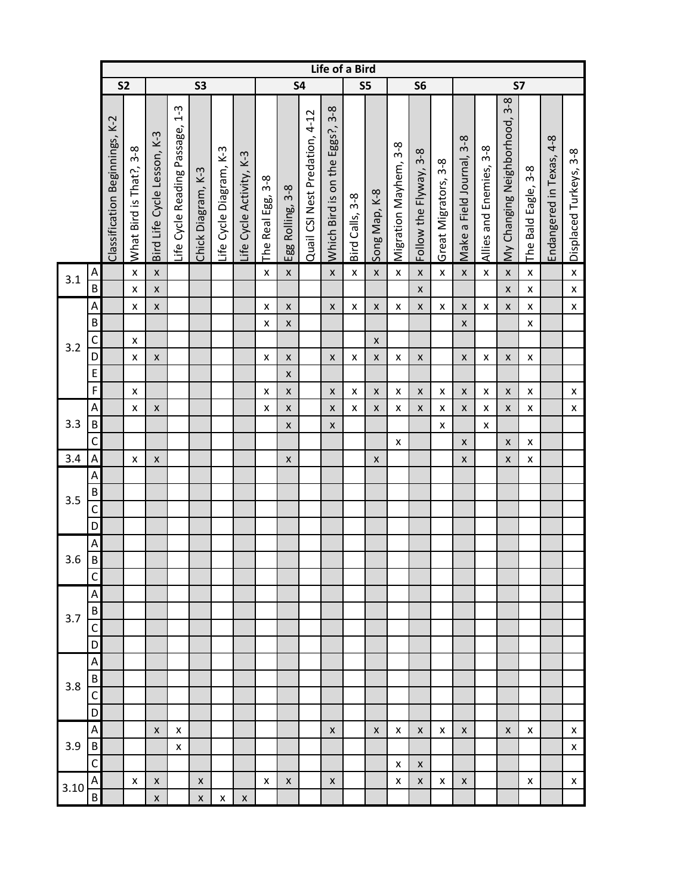|      |                           |                                |                             |                             |                                      |                    |                         |                          |                        |                       |                                | Life of a Bird                       |                    |                    |                       |                        |                      |                           |                                |                               |                            |                          |                        |
|------|---------------------------|--------------------------------|-----------------------------|-----------------------------|--------------------------------------|--------------------|-------------------------|--------------------------|------------------------|-----------------------|--------------------------------|--------------------------------------|--------------------|--------------------|-----------------------|------------------------|----------------------|---------------------------|--------------------------------|-------------------------------|----------------------------|--------------------------|------------------------|
|      |                           |                                | S <sub>2</sub><br><b>S3</b> |                             |                                      |                    |                         |                          |                        |                       | <b>S4</b>                      |                                      | S5                 |                    |                       | S <sub>6</sub>         |                      |                           |                                | <b>S7</b>                     |                            |                          |                        |
|      |                           | Classification Beginnings, K-2 | What Bird is That?, 3-8     | Bird Life Cycle Lesson, K-3 | $1-3$<br>Life Cycle Reading Passage, | Chick Diagram, K-3 | Life Cycle Diagram, K-3 | Life Cycle Activity, K-3 | $3-8$<br>The Real Egg, | $3-8$<br>Egg Rolling, | Quail CSI Nest Predation, 4-12 | $3-8$<br>Which Bird is on the Eggs?, | Bird Calls, 3-8    | Song Map, K-8      | Migration Mayhem, 3-8 | Follow the Flyway, 3-8 | Great Migrators, 3-8 | Make a Field Journal, 3-8 | $3 - 8$<br>Allies and Enemies, | My Changing Neighborhood, 3-8 | $3 - 8$<br>The Bald Eagle, | Endangered in Texas, 4-8 | Displaced Turkeys, 3-8 |
| 3.1  | A                         |                                | $\pmb{\mathsf{X}}$          | $\pmb{\mathsf{X}}$          |                                      |                    |                         |                          | $\pmb{\mathsf{x}}$     | $\pmb{\mathsf{X}}$    |                                | $\pmb{\mathsf{x}}$                   | $\pmb{\mathsf{X}}$ | $\pmb{\mathsf{X}}$ | $\pmb{\mathsf{X}}$    | $\pmb{\mathsf{x}}$     | $\pmb{\mathsf{X}}$   | $\pmb{\mathsf{X}}$        | $\pmb{\mathsf{x}}$             | $\pmb{\mathsf{X}}$            | $\pmb{\mathsf{x}}$         |                          | $\pmb{\mathsf{X}}$     |
|      | $\overline{\mathsf{B}}$   |                                | $\pmb{\mathsf{X}}$          | $\pmb{\mathsf{x}}$          |                                      |                    |                         |                          |                        |                       |                                |                                      |                    |                    |                       | $\pmb{\mathsf{X}}$     |                      |                           |                                | $\pmb{\mathsf{X}}$            | $\pmb{\mathsf{x}}$         |                          | $\pmb{\mathsf{X}}$     |
|      | $\boldsymbol{\mathsf{A}}$ |                                | $\pmb{\mathsf{X}}$          | $\pmb{\mathsf{x}}$          |                                      |                    |                         |                          | X                      | X                     |                                | $\pmb{\mathsf{x}}$                   | $\pmb{\mathsf{X}}$ | $\pmb{\mathsf{x}}$ | X                     | $\pmb{\mathsf{X}}$     | $\pmb{\mathsf{x}}$   | $\pmb{\mathsf{X}}$        | $\pmb{\mathsf{x}}$             | $\pmb{\mathsf{x}}$            | $\pmb{\mathsf{x}}$         |                          | $\pmb{\mathsf{X}}$     |
|      | $\sf B$                   |                                |                             |                             |                                      |                    |                         |                          | X                      | $\pmb{\mathsf{x}}$    |                                |                                      |                    |                    |                       |                        |                      | $\pmb{\mathsf{X}}$        |                                |                               | $\pmb{\mathsf{x}}$         |                          |                        |
| 3.2  | $\mathsf{C}$              |                                | $\pmb{\mathsf{X}}$          |                             |                                      |                    |                         |                          |                        |                       |                                |                                      |                    | $\pmb{\mathsf{x}}$ |                       |                        |                      |                           |                                |                               |                            |                          |                        |
|      | $\overline{D}$            |                                | $\pmb{\mathsf{X}}$          | $\pmb{\mathsf{X}}$          |                                      |                    |                         |                          | X                      | $\pmb{\mathsf{x}}$    |                                | $\pmb{\mathsf{x}}$                   | $\pmb{\mathsf{X}}$ | $\pmb{\mathsf{x}}$ | X                     | $\pmb{\mathsf{x}}$     |                      | $\pmb{\mathsf{X}}$        | $\pmb{\mathsf{X}}$             | $\pmb{\mathsf{x}}$            | $\pmb{\mathsf{X}}$         |                          |                        |
|      | E                         |                                |                             |                             |                                      |                    |                         |                          |                        | X                     |                                |                                      |                    |                    |                       |                        |                      |                           |                                |                               |                            |                          |                        |
|      | $\overline{F}$            |                                | $\pmb{\times}$              |                             |                                      |                    |                         |                          | $\pmb{\times}$         | $\pmb{\mathsf{x}}$    |                                | $\pmb{\mathsf{x}}$                   | $\pmb{\mathsf{X}}$ | $\pmb{\mathsf{x}}$ | X                     | $\pmb{\times}$         | $\pmb{\times}$       | $\pmb{\mathsf{X}}$        | $\pmb{\mathsf{x}}$             | $\pmb{\mathsf{x}}$            | $\pmb{\mathsf{x}}$         |                          | $\pmb{\mathsf{x}}$     |
|      | A                         |                                | $\pmb{\mathsf{X}}$          | $\pmb{\mathsf{X}}$          |                                      |                    |                         |                          | X                      | $\pmb{\mathsf{X}}$    |                                | $\pmb{\mathsf{x}}$                   | $\pmb{\mathsf{X}}$ | $\pmb{\mathsf{X}}$ | X                     | $\pmb{\mathsf{X}}$     | $\pmb{\mathsf{x}}$   | $\pmb{\mathsf{X}}$        | $\pmb{\mathsf{x}}$             | $\pmb{\mathsf{X}}$            | $\pmb{\mathsf{x}}$         |                          | $\pmb{\mathsf{X}}$     |
| 3.3  | $\sf B$                   |                                |                             |                             |                                      |                    |                         |                          |                        | $\pmb{\mathsf{x}}$    |                                | $\pmb{\mathsf{x}}$                   |                    |                    |                       |                        | $\pmb{\mathsf{x}}$   |                           | $\pmb{\mathsf{x}}$             |                               |                            |                          |                        |
|      | $\overline{\mathsf{C}}$   |                                |                             |                             |                                      |                    |                         |                          |                        |                       |                                |                                      |                    |                    | X                     |                        |                      | $\pmb{\times}$            |                                | X                             | X                          |                          |                        |
| 3.4  | A                         |                                | $\pmb{\mathsf{X}}$          | $\pmb{\mathsf{x}}$          |                                      |                    |                         |                          |                        | $\pmb{\mathsf{X}}$    |                                |                                      |                    | $\pmb{\mathsf{x}}$ |                       |                        |                      | $\pmb{\mathsf{X}}$        |                                | X                             | $\pmb{\mathsf{X}}$         |                          |                        |
|      | A                         |                                |                             |                             |                                      |                    |                         |                          |                        |                       |                                |                                      |                    |                    |                       |                        |                      |                           |                                |                               |                            |                          |                        |
| 3.5  | $\sf B$                   |                                |                             |                             |                                      |                    |                         |                          |                        |                       |                                |                                      |                    |                    |                       |                        |                      |                           |                                |                               |                            |                          |                        |
|      | $\overline{\mathsf{C}}$   |                                |                             |                             |                                      |                    |                         |                          |                        |                       |                                |                                      |                    |                    |                       |                        |                      |                           |                                |                               |                            |                          |                        |
|      | D                         |                                |                             |                             |                                      |                    |                         |                          |                        |                       |                                |                                      |                    |                    |                       |                        |                      |                           |                                |                               |                            |                          |                        |
|      | A                         |                                |                             |                             |                                      |                    |                         |                          |                        |                       |                                |                                      |                    |                    |                       |                        |                      |                           |                                |                               |                            |                          |                        |
| 3.6  | $\overline{\mathsf{B}}$   |                                |                             |                             |                                      |                    |                         |                          |                        |                       |                                |                                      |                    |                    |                       |                        |                      |                           |                                |                               |                            |                          |                        |
|      | C                         |                                |                             |                             |                                      |                    |                         |                          |                        |                       |                                |                                      |                    |                    |                       |                        |                      |                           |                                |                               |                            |                          |                        |
|      | A                         |                                |                             |                             |                                      |                    |                         |                          |                        |                       |                                |                                      |                    |                    |                       |                        |                      |                           |                                |                               |                            |                          |                        |
| 3.7  | $\sf B$                   |                                |                             |                             |                                      |                    |                         |                          |                        |                       |                                |                                      |                    |                    |                       |                        |                      |                           |                                |                               |                            |                          |                        |
|      | C                         |                                |                             |                             |                                      |                    |                         |                          |                        |                       |                                |                                      |                    |                    |                       |                        |                      |                           |                                |                               |                            |                          |                        |
|      | D                         |                                |                             |                             |                                      |                    |                         |                          |                        |                       |                                |                                      |                    |                    |                       |                        |                      |                           |                                |                               |                            |                          |                        |
|      | A                         |                                |                             |                             |                                      |                    |                         |                          |                        |                       |                                |                                      |                    |                    |                       |                        |                      |                           |                                |                               |                            |                          |                        |
| 3.8  | $\sf B$                   |                                |                             |                             |                                      |                    |                         |                          |                        |                       |                                |                                      |                    |                    |                       |                        |                      |                           |                                |                               |                            |                          |                        |
|      | C                         |                                |                             |                             |                                      |                    |                         |                          |                        |                       |                                |                                      |                    |                    |                       |                        |                      |                           |                                |                               |                            |                          |                        |
|      | D                         |                                |                             |                             |                                      |                    |                         |                          |                        |                       |                                |                                      |                    |                    |                       |                        |                      |                           |                                |                               |                            |                          |                        |
|      | A                         |                                |                             | X                           | x                                    |                    |                         |                          |                        |                       |                                | $\pmb{\mathsf{X}}$                   |                    | $\pmb{\mathsf{X}}$ | X                     | X                      | X                    | $\pmb{\times}$            |                                | X                             | x                          |                          | X                      |
| 3.9  | $\sf B$                   |                                |                             |                             | X                                    |                    |                         |                          |                        |                       |                                |                                      |                    |                    |                       |                        |                      |                           |                                |                               |                            |                          | $\pmb{\mathsf{x}}$     |
|      | $\mathsf{C}$              |                                |                             |                             |                                      |                    |                         |                          |                        |                       |                                |                                      |                    |                    | X                     | X                      |                      |                           |                                |                               |                            |                          |                        |
| 3.10 | A<br>$\overline{B}$       |                                | $\pmb{\times}$              | X                           |                                      | $\pmb{\times}$     |                         |                          | X                      | X                     |                                | $\pmb{\mathsf{X}}$                   |                    |                    | X                     | $\pmb{\times}$         | X                    | $\pmb{\times}$            |                                |                               | х                          |                          | $\mathsf X$            |
|      |                           |                                |                             | $\pmb{\mathsf{X}}$          |                                      | $\pmb{\mathsf{X}}$ | X                       | $\pmb{\mathsf{x}}$       |                        |                       |                                |                                      |                    |                    |                       |                        |                      |                           |                                |                               |                            |                          |                        |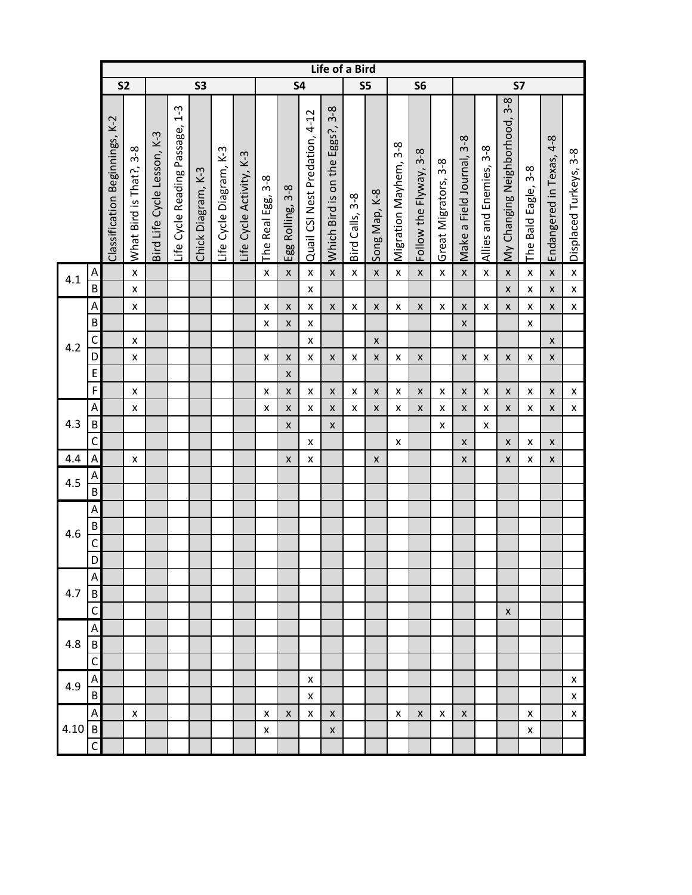|      |                           |                                |                         |                             |                                        |                    |                         |                          |                           |                       |                                          | Life of a Bird                         |                        |                    |                       |                             |                      |                                |                                |                               |                                         |                          |                           |
|------|---------------------------|--------------------------------|-------------------------|-----------------------------|----------------------------------------|--------------------|-------------------------|--------------------------|---------------------------|-----------------------|------------------------------------------|----------------------------------------|------------------------|--------------------|-----------------------|-----------------------------|----------------------|--------------------------------|--------------------------------|-------------------------------|-----------------------------------------|--------------------------|---------------------------|
|      |                           |                                | S <sub>2</sub>          |                             |                                        | <b>S3</b>          |                         |                          |                           |                       | <b>S4</b>                                |                                        |                        | S5                 |                       | S <sub>6</sub>              |                      |                                |                                | <b>S7</b>                     |                                         |                          |                           |
|      |                           | Classification Beginnings, K-2 | What Bird is That?, 3-8 | Bird Life Cycle Lesson, K-3 | $1 - 3$<br>Life Cycle Reading Passage, | Chick Diagram, K-3 | Life Cycle Diagram, K-3 | Life Cycle Activity, K-3 | $3-8$<br>The Real Egg,    | $3-8$<br>Egg Rolling, | Quail CSI Nest Predation, 4-12           | $3 - 8$<br>Which Bird is on the Eggs?, | $3 - 8$<br>Bird Calls, | Song Map, K-8      | Migration Mayhem, 3-8 | $3-8$<br>Follow the Flyway, | Great Migrators, 3-8 | $3-8$<br>Make a Field Journal, | $3 - 8$<br>Allies and Enemies, | My Changing Neighborhood, 3-8 | $3 - 8$<br>Eagle,<br><b>Bald</b><br>The | Endangered in Texas, 4-8 | Displaced Turkeys, 3-8    |
| 4.1  | A                         |                                | $\pmb{\mathsf{x}}$      |                             |                                        |                    |                         |                          | $\pmb{\times}$            | X                     | $\pmb{\mathsf{x}}$                       | $\pmb{\mathsf{X}}$                     | $\pmb{\mathsf{x}}$     | $\pmb{\mathsf{X}}$ | $\pmb{\mathsf{x}}$    | $\pmb{\times}$              | $\pmb{\mathsf{x}}$   | $\pmb{\mathsf{X}}$             | $\pmb{\mathsf{x}}$             | $\pmb{\mathsf{X}}$            | X                                       | $\pmb{\mathsf{X}}$       | $\mathsf X$               |
|      | $\sf B$                   |                                | $\pmb{\times}$          |                             |                                        |                    |                         |                          |                           |                       | $\pmb{\times}$                           |                                        |                        |                    |                       |                             |                      |                                |                                | $\pmb{\mathsf{X}}$            | $\pmb{\mathsf{X}}$                      | $\pmb{\mathsf{X}}$       | $\pmb{\mathsf{X}}$        |
|      | A<br>$\sf B$              |                                | $\pmb{\mathsf{x}}$      |                             |                                        |                    |                         |                          | X<br>x                    | X<br>$\pmb{\times}$   | $\pmb{\mathsf{x}}$<br>$\pmb{\mathsf{x}}$ | $\pmb{\times}$                         | $\pmb{\mathsf{x}}$     | $\pmb{\mathsf{X}}$ | X                     | $\pmb{\times}$              | $\pmb{\times}$       | $\pmb{\mathsf{x}}$<br>X        | X                              | $\pmb{\mathsf{X}}$            | $\pmb{\mathsf{X}}$<br>X                 | $\pmb{\mathsf{X}}$       | $\mathsf X$               |
|      | C                         |                                | $\pmb{\times}$          |                             |                                        |                    |                         |                          |                           |                       | X                                        |                                        |                        | $\pmb{\mathsf{X}}$ |                       |                             |                      |                                |                                |                               |                                         | $\pmb{\mathsf{X}}$       |                           |
| 4.2  | D                         |                                | $\pmb{\times}$          |                             |                                        |                    |                         |                          | $\pmb{\times}$            | $\pmb{\mathsf{x}}$    | $\pmb{\mathsf{x}}$                       | $\pmb{\mathsf{x}}$                     | $\pmb{\mathsf{X}}$     | $\pmb{\mathsf{X}}$ | X                     | $\pmb{\times}$              |                      | $\pmb{\mathsf{x}}$             | $\pmb{\mathsf{x}}$             | $\pmb{\mathsf{X}}$            | $\pmb{\mathsf{X}}$                      | $\pmb{\mathsf{X}}$       |                           |
|      | $\mathsf E$               |                                |                         |                             |                                        |                    |                         |                          |                           | X                     |                                          |                                        |                        |                    |                       |                             |                      |                                |                                |                               |                                         |                          |                           |
|      | $\mathsf F$               |                                | $\pmb{\times}$          |                             |                                        |                    |                         |                          | $\boldsymbol{\mathsf{x}}$ | X                     | $\pmb{\mathsf{x}}$                       | $\pmb{\mathsf{x}}$                     | $\pmb{\mathsf{X}}$     | $\pmb{\times}$     | X                     | X                           | $\pmb{\times}$       | $\pmb{\mathsf{X}}$             | $\pmb{\mathsf{x}}$             | $\boldsymbol{x}$              | $\pmb{\mathsf{X}}$                      | $\pmb{\times}$           | $\pmb{\mathsf{x}}$        |
|      | A                         |                                | $\pmb{\times}$          |                             |                                        |                    |                         |                          | x                         | X                     | X                                        | $\pmb{\times}$                         | X                      | $\pmb{\times}$     | x                     | X                           | X                    | $\pmb{\mathsf{x}}$             | X                              | $\pmb{\mathsf{X}}$            | X                                       | $\pmb{\times}$           | $\pmb{\mathsf{X}}$        |
| 4.3  | $\sf B$                   |                                |                         |                             |                                        |                    |                         |                          |                           | $\mathsf{x}$          |                                          | $\mathsf{x}$                           |                        |                    |                       |                             | $\pmb{\times}$       |                                | X                              |                               |                                         |                          |                           |
|      | $\mathsf{C}$              |                                |                         |                             |                                        |                    |                         |                          |                           |                       | $\pmb{\mathsf{x}}$                       |                                        |                        |                    | X                     |                             |                      | $\pmb{\mathsf{x}}$             |                                | X                             | X                                       | $\pmb{\times}$           |                           |
| 4.4  | $\boldsymbol{\mathsf{A}}$ |                                | $\pmb{\times}$          |                             |                                        |                    |                         |                          |                           | $\pmb{\times}$        | X                                        |                                        |                        | $\pmb{\times}$     |                       |                             |                      | X                              |                                | $\pmb{\mathsf{X}}$            | $\pmb{\mathsf{X}}$                      | $\mathsf{x}$             |                           |
| 4.5  | Α<br>$\sf B$              |                                |                         |                             |                                        |                    |                         |                          |                           |                       |                                          |                                        |                        |                    |                       |                             |                      |                                |                                |                               |                                         |                          |                           |
|      | A                         |                                |                         |                             |                                        |                    |                         |                          |                           |                       |                                          |                                        |                        |                    |                       |                             |                      |                                |                                |                               |                                         |                          |                           |
|      | B                         |                                |                         |                             |                                        |                    |                         |                          |                           |                       |                                          |                                        |                        |                    |                       |                             |                      |                                |                                |                               |                                         |                          |                           |
| 4.6  | $\mathsf C$               |                                |                         |                             |                                        |                    |                         |                          |                           |                       |                                          |                                        |                        |                    |                       |                             |                      |                                |                                |                               |                                         |                          |                           |
|      | D                         |                                |                         |                             |                                        |                    |                         |                          |                           |                       |                                          |                                        |                        |                    |                       |                             |                      |                                |                                |                               |                                         |                          |                           |
|      | Α                         |                                |                         |                             |                                        |                    |                         |                          |                           |                       |                                          |                                        |                        |                    |                       |                             |                      |                                |                                |                               |                                         |                          |                           |
| 4.7  | B                         |                                |                         |                             |                                        |                    |                         |                          |                           |                       |                                          |                                        |                        |                    |                       |                             |                      |                                |                                |                               |                                         |                          |                           |
|      | C                         |                                |                         |                             |                                        |                    |                         |                          |                           |                       |                                          |                                        |                        |                    |                       |                             |                      |                                |                                | X                             |                                         |                          |                           |
|      | Α                         |                                |                         |                             |                                        |                    |                         |                          |                           |                       |                                          |                                        |                        |                    |                       |                             |                      |                                |                                |                               |                                         |                          |                           |
| 4.8  | $\overline{B}$            |                                |                         |                             |                                        |                    |                         |                          |                           |                       |                                          |                                        |                        |                    |                       |                             |                      |                                |                                |                               |                                         |                          |                           |
|      | C                         |                                |                         |                             |                                        |                    |                         |                          |                           |                       |                                          |                                        |                        |                    |                       |                             |                      |                                |                                |                               |                                         |                          |                           |
| 4.9  | Α                         |                                |                         |                             |                                        |                    |                         |                          |                           |                       | X                                        |                                        |                        |                    |                       |                             |                      |                                |                                |                               |                                         |                          | $\pmb{\mathsf{X}}$        |
|      | $\overline{B}$            |                                |                         |                             |                                        |                    |                         |                          |                           |                       | $\pmb{\mathsf{x}}$                       |                                        |                        |                    |                       |                             |                      |                                |                                |                               |                                         |                          | $\boldsymbol{\mathsf{X}}$ |
|      | A                         |                                | $\pmb{\mathsf{x}}$      |                             |                                        |                    |                         |                          | x                         | X                     | $\pmb{\mathsf{X}}$                       | $\pmb{\times}$                         |                        |                    | x                     | X                           | X                    | $\pmb{\mathsf{x}}$             |                                |                               | X                                       |                          | $\pmb{\mathsf{X}}$        |
| 4.10 | $\mathsf B$               |                                |                         |                             |                                        |                    |                         |                          | $\pmb{\times}$            |                       |                                          | $\pmb{\mathsf{X}}$                     |                        |                    |                       |                             |                      |                                |                                |                               | X                                       |                          |                           |
|      | C                         |                                |                         |                             |                                        |                    |                         |                          |                           |                       |                                          |                                        |                        |                    |                       |                             |                      |                                |                                |                               |                                         |                          |                           |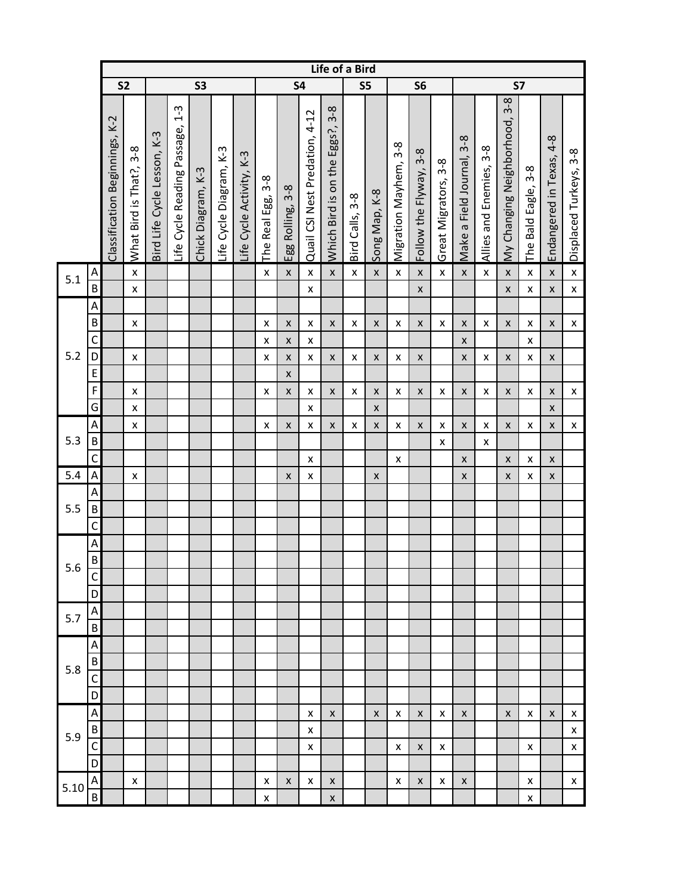|      |                           |                                |                         |                             |                                        |                    |                         |                          |                        |                         |                                | Life of a Bird                            |                        |                    |                       |                        |                      |                                |                                |                               |                                  |                          |                        |
|------|---------------------------|--------------------------------|-------------------------|-----------------------------|----------------------------------------|--------------------|-------------------------|--------------------------|------------------------|-------------------------|--------------------------------|-------------------------------------------|------------------------|--------------------|-----------------------|------------------------|----------------------|--------------------------------|--------------------------------|-------------------------------|----------------------------------|--------------------------|------------------------|
|      |                           | S <sub>2</sub>                 |                         |                             |                                        | S <sub>3</sub>     |                         |                          |                        |                         | <b>S4</b>                      |                                           | S5                     |                    |                       | S <sub>6</sub>         |                      |                                |                                | <b>S7</b>                     |                                  |                          |                        |
|      |                           | Classification Beginnings, K-2 | What Bird is That?, 3-8 | Bird Life Cycle Lesson, K-3 | $1 - 3$<br>Life Cycle Reading Passage, | Chick Diagram, K-3 | Life Cycle Diagram, K-3 | Life Cycle Activity, K-3 | $3-8$<br>The Real Egg, | $3 - 8$<br>Egg Rolling, | Quail CSI Nest Predation, 4-12 | $3 - 8$<br>Eggs?,<br>Which Bird is on the | $3 - 8$<br>Bird Calls, | Song Map, K-8      | Migration Mayhem, 3-8 | Follow the Flyway, 3-8 | Great Migrators, 3-8 | $3-8$<br>Make a Field Journal, | $3 - 8$<br>Allies and Enemies, | My Changing Neighborhood, 3-8 | $3 - 8$<br>Eagle,<br>Bald<br>The | Endangered in Texas, 4-8 | Displaced Turkeys, 3-8 |
| 5.1  | A                         |                                | $\pmb{\mathsf{X}}$      |                             |                                        |                    |                         |                          | $\pmb{\mathsf{x}}$     | X                       | $\pmb{\mathsf{x}}$             | $\pmb{\mathsf{X}}$                        | $\pmb{\mathsf{X}}$     | $\pmb{\mathsf{X}}$ | $\pmb{\mathsf{X}}$    | $\pmb{\mathsf{x}}$     | $\pmb{\mathsf{x}}$   | $\pmb{\mathsf{X}}$             | $\pmb{\mathsf{x}}$             | $\pmb{\mathsf{X}}$            | $\pmb{\mathsf{X}}$               | $\pmb{\mathsf{x}}$       | $\pmb{\mathsf{X}}$     |
|      | $\overline{B}$            |                                | $\pmb{\mathsf{x}}$      |                             |                                        |                    |                         |                          |                        |                         | $\pmb{\mathsf{x}}$             |                                           |                        |                    |                       | $\pmb{\mathsf{x}}$     |                      |                                |                                | $\pmb{\mathsf{X}}$            | $\pmb{\mathsf{X}}$               | $\pmb{\mathsf{x}}$       | $\mathsf X$            |
|      | A                         |                                |                         |                             |                                        |                    |                         |                          |                        |                         |                                |                                           |                        |                    |                       |                        |                      |                                |                                |                               |                                  |                          |                        |
|      | $\sf B$                   |                                | $\pmb{\times}$          |                             |                                        |                    |                         |                          | X                      | $\pmb{\mathsf{x}}$      | $\pmb{\mathsf{X}}$             | $\pmb{\mathsf{x}}$                        | $\pmb{\mathsf{x}}$     | $\pmb{\mathsf{x}}$ | X                     | $\pmb{\times}$         | X                    | $\pmb{\mathsf{X}}$             | $\pmb{\mathsf{x}}$             | $\pmb{\mathsf{X}}$            | $\pmb{\mathsf{x}}$               | $\pmb{\mathsf{x}}$       | $\pmb{\mathsf{X}}$     |
|      | C                         |                                |                         |                             |                                        |                    |                         |                          | X                      | X                       | X                              |                                           |                        |                    |                       |                        |                      | $\pmb{\mathsf{x}}$             |                                |                               | $\pmb{\mathsf{X}}$               |                          |                        |
| 5.2  | D                         |                                | $\pmb{\times}$          |                             |                                        |                    |                         |                          | X                      | $\pmb{\mathsf{x}}$      | X                              | $\pmb{\mathsf{x}}$                        | $\pmb{\mathsf{X}}$     | $\pmb{\times}$     | X                     | $\pmb{\mathsf{X}}$     |                      | $\pmb{\times}$                 | $\pmb{\mathsf{x}}$             | $\pmb{\mathsf{x}}$            | $\pmb{\mathsf{X}}$               | $\pmb{\mathsf{x}}$       |                        |
|      | $\mathsf E$               |                                |                         |                             |                                        |                    |                         |                          |                        | $\pmb{\mathsf{X}}$      |                                |                                           |                        |                    |                       |                        |                      |                                |                                |                               |                                  |                          |                        |
|      | F                         |                                | $\pmb{\times}$          |                             |                                        |                    |                         |                          | X                      | $\pmb{\mathsf{x}}$      | $\pmb{\mathsf{X}}$             | $\pmb{\mathsf{x}}$                        | $\pmb{\mathsf{X}}$     | $\pmb{\times}$     | X                     | $\pmb{\times}$         | $\pmb{\times}$       | $\pmb{\mathsf{X}}$             | $\pmb{\mathsf{x}}$             | $\pmb{\mathsf{X}}$            | $\pmb{\mathsf{X}}$               | $\pmb{\mathsf{x}}$       | $\pmb{\mathsf{X}}$     |
|      | G                         |                                | $\pmb{\times}$          |                             |                                        |                    |                         |                          |                        |                         | $\pmb{\mathsf{x}}$             |                                           |                        | $\pmb{\mathsf{X}}$ |                       |                        |                      |                                |                                |                               |                                  | $\pmb{\mathsf{x}}$       |                        |
|      | $\boldsymbol{\mathsf{A}}$ |                                | $\pmb{\mathsf{x}}$      |                             |                                        |                    |                         |                          | X                      | $\pmb{\mathsf{x}}$      | $\pmb{\mathsf{x}}$             | $\pmb{\mathsf{x}}$                        | $\pmb{\mathsf{X}}$     | $\pmb{\mathsf{x}}$ | X                     | $\pmb{\times}$         | X                    | $\pmb{\times}$                 | $\pmb{\mathsf{x}}$             | $\pmb{\mathsf{X}}$            | $\pmb{\mathsf{X}}$               | $\pmb{\mathsf{x}}$       | $\pmb{\mathsf{X}}$     |
| 5.3  | B                         |                                |                         |                             |                                        |                    |                         |                          |                        |                         |                                |                                           |                        |                    |                       |                        | X                    |                                | X                              |                               |                                  |                          |                        |
|      | $\mathsf C$               |                                |                         |                             |                                        |                    |                         |                          |                        |                         | $\pmb{\mathsf{X}}$             |                                           |                        |                    | x                     |                        |                      | $\pmb{\mathsf{X}}$             |                                | $\pmb{\mathsf{x}}$            | $\pmb{\mathsf{x}}$               | $\pmb{\mathsf{x}}$       |                        |
| 5.4  | $\boldsymbol{\mathsf{A}}$ |                                | $\pmb{\mathsf{x}}$      |                             |                                        |                    |                         |                          |                        | $\pmb{\mathsf{X}}$      | X                              |                                           |                        | $\pmb{\mathsf{X}}$ |                       |                        |                      | $\pmb{\mathsf{X}}$             |                                | X                             | X                                | $\pmb{\mathsf{x}}$       |                        |
|      | A                         |                                |                         |                             |                                        |                    |                         |                          |                        |                         |                                |                                           |                        |                    |                       |                        |                      |                                |                                |                               |                                  |                          |                        |
| 5.5  | $\sf B$                   |                                |                         |                             |                                        |                    |                         |                          |                        |                         |                                |                                           |                        |                    |                       |                        |                      |                                |                                |                               |                                  |                          |                        |
|      | $\mathsf C$               |                                |                         |                             |                                        |                    |                         |                          |                        |                         |                                |                                           |                        |                    |                       |                        |                      |                                |                                |                               |                                  |                          |                        |
|      | A<br>$\overline{B}$       |                                |                         |                             |                                        |                    |                         |                          |                        |                         |                                |                                           |                        |                    |                       |                        |                      |                                |                                |                               |                                  |                          |                        |
| 5.6  | C                         |                                |                         |                             |                                        |                    |                         |                          |                        |                         |                                |                                           |                        |                    |                       |                        |                      |                                |                                |                               |                                  |                          |                        |
|      | D                         |                                |                         |                             |                                        |                    |                         |                          |                        |                         |                                |                                           |                        |                    |                       |                        |                      |                                |                                |                               |                                  |                          |                        |
|      | A                         |                                |                         |                             |                                        |                    |                         |                          |                        |                         |                                |                                           |                        |                    |                       |                        |                      |                                |                                |                               |                                  |                          |                        |
| 5.7  | $\sf B$                   |                                |                         |                             |                                        |                    |                         |                          |                        |                         |                                |                                           |                        |                    |                       |                        |                      |                                |                                |                               |                                  |                          |                        |
|      | A                         |                                |                         |                             |                                        |                    |                         |                          |                        |                         |                                |                                           |                        |                    |                       |                        |                      |                                |                                |                               |                                  |                          |                        |
|      | $\sf B$                   |                                |                         |                             |                                        |                    |                         |                          |                        |                         |                                |                                           |                        |                    |                       |                        |                      |                                |                                |                               |                                  |                          |                        |
| 5.8  | C                         |                                |                         |                             |                                        |                    |                         |                          |                        |                         |                                |                                           |                        |                    |                       |                        |                      |                                |                                |                               |                                  |                          |                        |
|      | D                         |                                |                         |                             |                                        |                    |                         |                          |                        |                         |                                |                                           |                        |                    |                       |                        |                      |                                |                                |                               |                                  |                          |                        |
|      | $\boldsymbol{\mathsf{A}}$ |                                |                         |                             |                                        |                    |                         |                          |                        |                         | x                              | X                                         |                        | $\pmb{\mathsf{X}}$ | x                     | X                      | x                    | X                              |                                | X                             | x                                | X                        | X                      |
|      | $\sf B$                   |                                |                         |                             |                                        |                    |                         |                          |                        |                         | X                              |                                           |                        |                    |                       |                        |                      |                                |                                |                               |                                  |                          | $\pmb{\mathsf{X}}$     |
| 5.9  | C                         |                                |                         |                             |                                        |                    |                         |                          |                        |                         | X                              |                                           |                        |                    | X                     | X                      | x                    |                                |                                |                               | X                                |                          | $\pmb{\mathsf{X}}$     |
|      | D                         |                                |                         |                             |                                        |                    |                         |                          |                        |                         |                                |                                           |                        |                    |                       |                        |                      |                                |                                |                               |                                  |                          |                        |
|      | A                         |                                | X                       |                             |                                        |                    |                         |                          | X                      | X                       | X                              | X                                         |                        |                    | x                     | X                      | X                    | $\pmb{\mathsf{X}}$             |                                |                               | х                                |                          | X.                     |
| 5.10 | B                         |                                |                         |                             |                                        |                    |                         |                          | X                      |                         |                                | $\pmb{\mathsf{X}}$                        |                        |                    |                       |                        |                      |                                |                                |                               | X                                |                          |                        |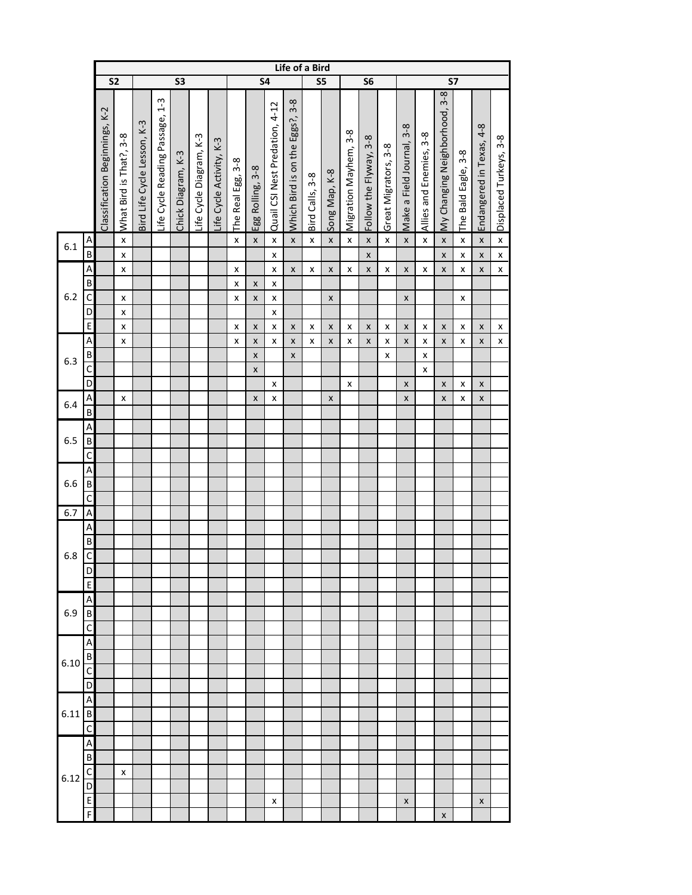|      |                   |                                |                         |                             |                                        |                    |                         |                          |                   |                    |                                | Life of a Bird                  |                        |                    |                       |                        |                      |                           |                         |                               |                     |                          |                        |
|------|-------------------|--------------------------------|-------------------------|-----------------------------|----------------------------------------|--------------------|-------------------------|--------------------------|-------------------|--------------------|--------------------------------|---------------------------------|------------------------|--------------------|-----------------------|------------------------|----------------------|---------------------------|-------------------------|-------------------------------|---------------------|--------------------------|------------------------|
|      |                   | S <sub>2</sub>                 |                         |                             |                                        | S3                 |                         |                          |                   | <b>S4</b>          |                                |                                 | S5                     |                    |                       | S <sub>6</sub>         |                      |                           |                         | $\overline{\mathsf{S}7}$      |                     |                          |                        |
|      |                   | Classification Beginnings, K-2 | What Bird is That?, 3-8 | Bird Life Cycle Lesson, K-3 | $1 - 3$<br>Life Cycle Reading Passage, | Chick Diagram, K-3 | Life Cycle Diagram, K-3 | life Cycle Activity, K-3 | The Real Egg, 3-8 | Egg Rolling, 3-8   | Quail CSI Nest Predation, 4-12 | Which Bird is on the Eggs?, 3-8 | $3 - 8$<br>Bird Calls, | Song Map, K-8      | Migration Mayhem, 3-8 | Follow the Flyway, 3-8 | Great Migrators, 3-8 | Make a Field Journal, 3-8 | Allies and Enemies, 3-8 | My Changing Neighborhood, 3-8 | The Bald Eagle, 3-8 | Endangered in Texas, 4-8 | Displaced Turkeys, 3-8 |
| 6.1  | A                 |                                | x                       |                             |                                        |                    |                         |                          | X                 | $\pmb{\mathsf{x}}$ | $\pmb{\mathsf{x}}$             | $\pmb{\mathsf{X}}$              | $\pmb{\mathsf{x}}$     | $\pmb{\mathsf{X}}$ | x                     | $\pmb{\mathsf{x}}$     | $\pmb{\mathsf{X}}$   | $\pmb{\mathsf{x}}$        | x                       | $\pmb{\mathsf{X}}$            | x                   | X                        | $\pmb{\mathsf{x}}$     |
|      | B                 |                                | x                       |                             |                                        |                    |                         |                          |                   |                    | x                              |                                 |                        |                    |                       | X                      |                      |                           |                         | $\pmb{\mathsf{x}}$            | $\pmb{\mathsf{x}}$  | X                        | $\pmb{\mathsf{x}}$     |
|      | A<br>В            |                                | $\pmb{\times}$          |                             |                                        |                    |                         |                          | x                 |                    | x                              | $\pmb{\mathsf{x}}$              | x                      | X                  | x                     | X                      | $\pmb{\mathsf{X}}$   | $\pmb{\times}$            | $\pmb{\mathsf{X}}$      | $\pmb{\mathsf{x}}$            | $\pmb{\mathsf{x}}$  | X                        | $\pmb{\mathsf{x}}$     |
| 6.2  | $\mathsf{C}$      |                                | X                       |                             |                                        |                    |                         |                          | x<br>x            | X<br>X             | x<br>x                         |                                 |                        | X                  |                       |                        |                      | X                         |                         |                               | x                   |                          |                        |
|      | D                 |                                | x                       |                             |                                        |                    |                         |                          |                   |                    | x                              |                                 |                        |                    |                       |                        |                      |                           |                         |                               |                     |                          |                        |
|      | E                 |                                | X                       |                             |                                        |                    |                         |                          | x                 | $\pmb{\mathsf{x}}$ | x                              | $\pmb{\mathsf{X}}$              | x                      | X                  | x                     | X                      | $\pmb{\mathsf{x}}$   | X                         | x                       | X                             | x                   | X                        | x                      |
|      | Α                 |                                | x                       |                             |                                        |                    |                         |                          | x                 | X                  | x                              | X                               | x                      | X                  | x                     | X                      | x                    | X                         | x                       | X                             | x                   | X                        | x                      |
|      | B                 |                                |                         |                             |                                        |                    |                         |                          |                   | X                  |                                | $\pmb{\mathsf{x}}$              |                        |                    |                       |                        | $\pmb{\mathsf{x}}$   |                           | X                       |                               |                     |                          |                        |
| 6.3  | C                 |                                |                         |                             |                                        |                    |                         |                          |                   | X                  |                                |                                 |                        |                    |                       |                        |                      |                           | X                       |                               |                     |                          |                        |
|      | D                 |                                |                         |                             |                                        |                    |                         |                          |                   |                    | x                              |                                 |                        |                    | x                     |                        |                      | X                         |                         | X                             | x                   | X                        |                        |
| 6.4  | Α                 |                                | X                       |                             |                                        |                    |                         |                          |                   | X                  | x                              |                                 |                        | X                  |                       |                        |                      | $\pmb{\mathsf{x}}$        |                         | $\pmb{\mathsf{x}}$            | x                   | X                        |                        |
|      | $\overline{B}$    |                                |                         |                             |                                        |                    |                         |                          |                   |                    |                                |                                 |                        |                    |                       |                        |                      |                           |                         |                               |                     |                          |                        |
|      | A                 |                                |                         |                             |                                        |                    |                         |                          |                   |                    |                                |                                 |                        |                    |                       |                        |                      |                           |                         |                               |                     |                          |                        |
| 6.5  | B                 |                                |                         |                             |                                        |                    |                         |                          |                   |                    |                                |                                 |                        |                    |                       |                        |                      |                           |                         |                               |                     |                          |                        |
|      | $\mathsf{C}$      |                                |                         |                             |                                        |                    |                         |                          |                   |                    |                                |                                 |                        |                    |                       |                        |                      |                           |                         |                               |                     |                          |                        |
|      | A                 |                                |                         |                             |                                        |                    |                         |                          |                   |                    |                                |                                 |                        |                    |                       |                        |                      |                           |                         |                               |                     |                          |                        |
| 6.6  | $\sf B$           |                                |                         |                             |                                        |                    |                         |                          |                   |                    |                                |                                 |                        |                    |                       |                        |                      |                           |                         |                               |                     |                          |                        |
|      | $\mathsf{C}$      |                                |                         |                             |                                        |                    |                         |                          |                   |                    |                                |                                 |                        |                    |                       |                        |                      |                           |                         |                               |                     |                          |                        |
| 6.7  | A                 |                                |                         |                             |                                        |                    |                         |                          |                   |                    |                                |                                 |                        |                    |                       |                        |                      |                           |                         |                               |                     |                          |                        |
|      | Α<br>B            |                                |                         |                             |                                        |                    |                         |                          |                   |                    |                                |                                 |                        |                    |                       |                        |                      |                           |                         |                               |                     |                          |                        |
| 6.8  | C                 |                                |                         |                             |                                        |                    |                         |                          |                   |                    |                                |                                 |                        |                    |                       |                        |                      |                           |                         |                               |                     |                          |                        |
|      | D                 |                                |                         |                             |                                        |                    |                         |                          |                   |                    |                                |                                 |                        |                    |                       |                        |                      |                           |                         |                               |                     |                          |                        |
|      | $\overline{E}$    |                                |                         |                             |                                        |                    |                         |                          |                   |                    |                                |                                 |                        |                    |                       |                        |                      |                           |                         |                               |                     |                          |                        |
|      | A                 |                                |                         |                             |                                        |                    |                         |                          |                   |                    |                                |                                 |                        |                    |                       |                        |                      |                           |                         |                               |                     |                          |                        |
| 6.9  | B                 |                                |                         |                             |                                        |                    |                         |                          |                   |                    |                                |                                 |                        |                    |                       |                        |                      |                           |                         |                               |                     |                          |                        |
|      | C                 |                                |                         |                             |                                        |                    |                         |                          |                   |                    |                                |                                 |                        |                    |                       |                        |                      |                           |                         |                               |                     |                          |                        |
|      | A                 |                                |                         |                             |                                        |                    |                         |                          |                   |                    |                                |                                 |                        |                    |                       |                        |                      |                           |                         |                               |                     |                          |                        |
| 6.10 | B                 |                                |                         |                             |                                        |                    |                         |                          |                   |                    |                                |                                 |                        |                    |                       |                        |                      |                           |                         |                               |                     |                          |                        |
|      | C                 |                                |                         |                             |                                        |                    |                         |                          |                   |                    |                                |                                 |                        |                    |                       |                        |                      |                           |                         |                               |                     |                          |                        |
|      | D                 |                                |                         |                             |                                        |                    |                         |                          |                   |                    |                                |                                 |                        |                    |                       |                        |                      |                           |                         |                               |                     |                          |                        |
|      | A                 |                                |                         |                             |                                        |                    |                         |                          |                   |                    |                                |                                 |                        |                    |                       |                        |                      |                           |                         |                               |                     |                          |                        |
| 6.11 | $\overline{B}$    |                                |                         |                             |                                        |                    |                         |                          |                   |                    |                                |                                 |                        |                    |                       |                        |                      |                           |                         |                               |                     |                          |                        |
|      | $\mathsf{C}$      |                                |                         |                             |                                        |                    |                         |                          |                   |                    |                                |                                 |                        |                    |                       |                        |                      |                           |                         |                               |                     |                          |                        |
|      | Α                 |                                |                         |                             |                                        |                    |                         |                          |                   |                    |                                |                                 |                        |                    |                       |                        |                      |                           |                         |                               |                     |                          |                        |
|      | B<br>$\mathsf{C}$ |                                |                         |                             |                                        |                    |                         |                          |                   |                    |                                |                                 |                        |                    |                       |                        |                      |                           |                         |                               |                     |                          |                        |
| 6.12 | D                 |                                | x                       |                             |                                        |                    |                         |                          |                   |                    |                                |                                 |                        |                    |                       |                        |                      |                           |                         |                               |                     |                          |                        |
|      | E                 |                                |                         |                             |                                        |                    |                         |                          |                   |                    | x                              |                                 |                        |                    |                       |                        |                      | X                         |                         |                               |                     | x                        |                        |
|      | F                 |                                |                         |                             |                                        |                    |                         |                          |                   |                    |                                |                                 |                        |                    |                       |                        |                      |                           |                         | $\pmb{\mathsf{x}}$            |                     |                          |                        |
|      |                   |                                |                         |                             |                                        |                    |                         |                          |                   |                    |                                |                                 |                        |                    |                       |                        |                      |                           |                         |                               |                     |                          |                        |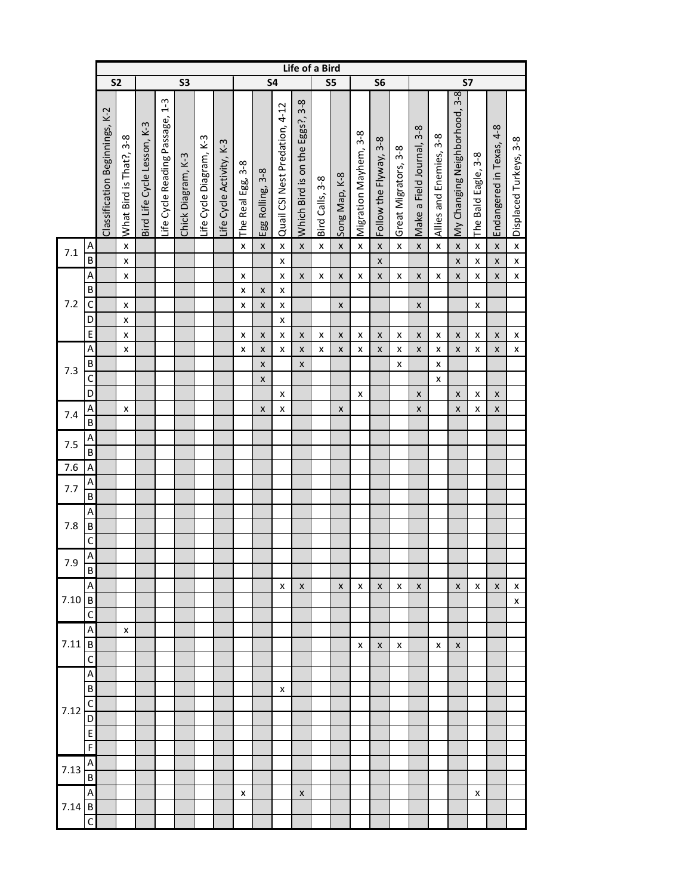| S <sub>2</sub><br>S5<br>S <sub>6</sub><br>S3<br><b>S4</b><br><b>S7</b><br>My Changing Neighborhood, 3-8<br>$1 - 3$<br>$3 - 8$<br>Quail CSI Nest Predation, 4-12<br>Classification Beginnings, K-2<br>Life Cycle Reading Passage,<br>Which Bird is on the Eggs?,<br>Bird Life Cycle Lesson, K-3<br>Endangered in Texas, 4-8<br>Make a Field Journal, 3-8<br>Migration Mayhem, 3-8<br>Allies and Enemies, 3-8<br>$3-8$<br>Life Cycle Diagram, K-3<br>Displaced Turkeys, 3-8<br>$3-8$<br>Life Cycle Activity, K-3<br>Great Migrators, 3-8<br>What Bird is That?,<br>The Bald Eagle, 3-8<br>Chick Diagram, K-3<br>Follow the Flyway,<br>$3 - 8$<br>Egg Rolling, 3-8<br>Song Map, K-8<br>Bird Calls, 3-8<br>The Real Egg,<br>$\overline{A}$<br>$\pmb{\mathsf{X}}$<br>$\pmb{\mathsf{X}}$<br>$\pmb{\times}$<br>$\pmb{\mathsf{X}}$<br>$\pmb{\mathsf{X}}$<br>$\pmb{\mathsf{x}}$<br>$\pmb{\times}$<br>$\pmb{\times}$<br>$\pmb{\mathsf{X}}$<br>$\pmb{\mathsf{x}}$<br>$\pmb{\mathsf{x}}$<br>X<br>X<br>$\pmb{\times}$<br>x<br>$\pmb{\mathsf{X}}$<br>$7.1\,$<br>$\overline{B}$<br>$\pmb{\mathsf{X}}$<br>$\pmb{\times}$<br>$\pmb{\mathsf{X}}$<br>$\pmb{\mathsf{x}}$<br>$\pmb{\mathsf{x}}$<br>X<br>X<br>A<br>$\pmb{\mathsf{X}}$<br>$\pmb{\times}$<br>$\pmb{\mathsf{X}}$<br>$\pmb{\mathsf{x}}$<br>$\pmb{\mathsf{x}}$<br>X<br>X<br>X<br>X<br>$\pmb{\mathsf{x}}$<br>x<br>X<br>X<br>X<br>x<br>$\sf B$<br>$\pmb{\mathsf{x}}$<br>X<br>x<br>$7.2$<br>$\mathsf C$<br>X<br>$\pmb{\mathsf{x}}$<br>$\pmb{\times}$<br>X<br>x<br>x<br>X<br>D<br>X<br>X<br>$\overline{\mathsf{E}}$<br>X<br>X<br>$\pmb{\mathsf{x}}$<br>$\pmb{\mathsf{x}}$<br>$\pmb{\mathsf{x}}$<br>$\pmb{\mathsf{x}}$<br>$\pmb{\times}$<br>X<br>$\pmb{\mathsf{X}}$<br>$\pmb{\mathsf{x}}$<br>$\pmb{\mathsf{x}}$<br>$\pmb{\mathsf{x}}$<br>x<br>X<br>$\pmb{\mathsf{x}}$<br>X<br>A<br>$\pmb{\times}$<br>$\pmb{\mathsf{X}}$<br>$\pmb{\mathsf{x}}$<br>x<br>$\pmb{\mathsf{X}}$<br>X<br>$\pmb{\mathsf{x}}$<br>x<br>$\pmb{\mathsf{X}}$<br>X<br>X<br>$\pmb{\times}$<br>$\pmb{\mathsf{x}}$<br>x<br>X<br>x<br>$\sf B$<br>$\mathsf{x}$<br>$\pmb{\mathsf{X}}$<br>$\pmb{\times}$<br>$\pmb{\mathsf{x}}$<br>7.3<br>$\mathsf{C}$<br>$\pmb{\mathsf{x}}$<br>x<br>D<br>X<br>x<br>x<br>X<br>X<br>X<br>$\mathsf{A}$<br>X<br>$\pmb{\mathsf{x}}$<br>X<br>$\pmb{\mathsf{X}}$<br>X<br>$\pmb{\mathsf{x}}$<br>x<br>X<br>7.4<br>$\overline{B}$<br>A<br>7.5<br>$\sf B$<br>7.6<br>A<br>A<br>7.7<br>$\sf B$<br>A<br>7.8<br>$\sf B$<br>$\mathsf{C}$<br>$\mathsf{A}$<br>7.9<br>B<br>A<br>X<br>X<br>X<br>$\pmb{\mathsf{x}}$<br>x<br>X<br>X<br>X<br>X<br>x<br>X<br>7.10<br>$\sf B$<br>X<br>$\mathsf{C}$<br>A<br>x<br>$\overline{B}$<br>7.11<br>X<br>X<br>x<br>x<br>X<br>$\mathsf{C}$<br>A<br>$\sf B$<br>х<br>$\mathsf{C}$<br>7.12<br>D<br>$\mathsf{E}$<br>$\overline{F}$<br>A<br>7.13<br>$\sf B$<br>A<br>x<br>X<br>x<br>$\sf B$<br>7.14<br>$\mathsf C$ |  |  |  |  |  |  |  |  |  | Life of a Bird |  |  |  |  |  |  |
|----------------------------------------------------------------------------------------------------------------------------------------------------------------------------------------------------------------------------------------------------------------------------------------------------------------------------------------------------------------------------------------------------------------------------------------------------------------------------------------------------------------------------------------------------------------------------------------------------------------------------------------------------------------------------------------------------------------------------------------------------------------------------------------------------------------------------------------------------------------------------------------------------------------------------------------------------------------------------------------------------------------------------------------------------------------------------------------------------------------------------------------------------------------------------------------------------------------------------------------------------------------------------------------------------------------------------------------------------------------------------------------------------------------------------------------------------------------------------------------------------------------------------------------------------------------------------------------------------------------------------------------------------------------------------------------------------------------------------------------------------------------------------------------------------------------------------------------------------------------------------------------------------------------------------------------------------------------------------------------------------------------------------------------------------------------------------------------------------------------------------------------------------------------------------------------------------------------------------------------------------------------------------------------------------------------------------------------------------------------------------------------------------------------------------------------------------------------------------------------------------------------------------------------------------------------------------------------------------------------------------------------------------------------------------------------------------------------------------------------------------------------------------------------------------------------------------------------------------|--|--|--|--|--|--|--|--|--|----------------|--|--|--|--|--|--|
|                                                                                                                                                                                                                                                                                                                                                                                                                                                                                                                                                                                                                                                                                                                                                                                                                                                                                                                                                                                                                                                                                                                                                                                                                                                                                                                                                                                                                                                                                                                                                                                                                                                                                                                                                                                                                                                                                                                                                                                                                                                                                                                                                                                                                                                                                                                                                                                                                                                                                                                                                                                                                                                                                                                                                                                                                                                    |  |  |  |  |  |  |  |  |  |                |  |  |  |  |  |  |
|                                                                                                                                                                                                                                                                                                                                                                                                                                                                                                                                                                                                                                                                                                                                                                                                                                                                                                                                                                                                                                                                                                                                                                                                                                                                                                                                                                                                                                                                                                                                                                                                                                                                                                                                                                                                                                                                                                                                                                                                                                                                                                                                                                                                                                                                                                                                                                                                                                                                                                                                                                                                                                                                                                                                                                                                                                                    |  |  |  |  |  |  |  |  |  |                |  |  |  |  |  |  |
|                                                                                                                                                                                                                                                                                                                                                                                                                                                                                                                                                                                                                                                                                                                                                                                                                                                                                                                                                                                                                                                                                                                                                                                                                                                                                                                                                                                                                                                                                                                                                                                                                                                                                                                                                                                                                                                                                                                                                                                                                                                                                                                                                                                                                                                                                                                                                                                                                                                                                                                                                                                                                                                                                                                                                                                                                                                    |  |  |  |  |  |  |  |  |  |                |  |  |  |  |  |  |
|                                                                                                                                                                                                                                                                                                                                                                                                                                                                                                                                                                                                                                                                                                                                                                                                                                                                                                                                                                                                                                                                                                                                                                                                                                                                                                                                                                                                                                                                                                                                                                                                                                                                                                                                                                                                                                                                                                                                                                                                                                                                                                                                                                                                                                                                                                                                                                                                                                                                                                                                                                                                                                                                                                                                                                                                                                                    |  |  |  |  |  |  |  |  |  |                |  |  |  |  |  |  |
|                                                                                                                                                                                                                                                                                                                                                                                                                                                                                                                                                                                                                                                                                                                                                                                                                                                                                                                                                                                                                                                                                                                                                                                                                                                                                                                                                                                                                                                                                                                                                                                                                                                                                                                                                                                                                                                                                                                                                                                                                                                                                                                                                                                                                                                                                                                                                                                                                                                                                                                                                                                                                                                                                                                                                                                                                                                    |  |  |  |  |  |  |  |  |  |                |  |  |  |  |  |  |
|                                                                                                                                                                                                                                                                                                                                                                                                                                                                                                                                                                                                                                                                                                                                                                                                                                                                                                                                                                                                                                                                                                                                                                                                                                                                                                                                                                                                                                                                                                                                                                                                                                                                                                                                                                                                                                                                                                                                                                                                                                                                                                                                                                                                                                                                                                                                                                                                                                                                                                                                                                                                                                                                                                                                                                                                                                                    |  |  |  |  |  |  |  |  |  |                |  |  |  |  |  |  |
|                                                                                                                                                                                                                                                                                                                                                                                                                                                                                                                                                                                                                                                                                                                                                                                                                                                                                                                                                                                                                                                                                                                                                                                                                                                                                                                                                                                                                                                                                                                                                                                                                                                                                                                                                                                                                                                                                                                                                                                                                                                                                                                                                                                                                                                                                                                                                                                                                                                                                                                                                                                                                                                                                                                                                                                                                                                    |  |  |  |  |  |  |  |  |  |                |  |  |  |  |  |  |
|                                                                                                                                                                                                                                                                                                                                                                                                                                                                                                                                                                                                                                                                                                                                                                                                                                                                                                                                                                                                                                                                                                                                                                                                                                                                                                                                                                                                                                                                                                                                                                                                                                                                                                                                                                                                                                                                                                                                                                                                                                                                                                                                                                                                                                                                                                                                                                                                                                                                                                                                                                                                                                                                                                                                                                                                                                                    |  |  |  |  |  |  |  |  |  |                |  |  |  |  |  |  |
|                                                                                                                                                                                                                                                                                                                                                                                                                                                                                                                                                                                                                                                                                                                                                                                                                                                                                                                                                                                                                                                                                                                                                                                                                                                                                                                                                                                                                                                                                                                                                                                                                                                                                                                                                                                                                                                                                                                                                                                                                                                                                                                                                                                                                                                                                                                                                                                                                                                                                                                                                                                                                                                                                                                                                                                                                                                    |  |  |  |  |  |  |  |  |  |                |  |  |  |  |  |  |
|                                                                                                                                                                                                                                                                                                                                                                                                                                                                                                                                                                                                                                                                                                                                                                                                                                                                                                                                                                                                                                                                                                                                                                                                                                                                                                                                                                                                                                                                                                                                                                                                                                                                                                                                                                                                                                                                                                                                                                                                                                                                                                                                                                                                                                                                                                                                                                                                                                                                                                                                                                                                                                                                                                                                                                                                                                                    |  |  |  |  |  |  |  |  |  |                |  |  |  |  |  |  |
|                                                                                                                                                                                                                                                                                                                                                                                                                                                                                                                                                                                                                                                                                                                                                                                                                                                                                                                                                                                                                                                                                                                                                                                                                                                                                                                                                                                                                                                                                                                                                                                                                                                                                                                                                                                                                                                                                                                                                                                                                                                                                                                                                                                                                                                                                                                                                                                                                                                                                                                                                                                                                                                                                                                                                                                                                                                    |  |  |  |  |  |  |  |  |  |                |  |  |  |  |  |  |
|                                                                                                                                                                                                                                                                                                                                                                                                                                                                                                                                                                                                                                                                                                                                                                                                                                                                                                                                                                                                                                                                                                                                                                                                                                                                                                                                                                                                                                                                                                                                                                                                                                                                                                                                                                                                                                                                                                                                                                                                                                                                                                                                                                                                                                                                                                                                                                                                                                                                                                                                                                                                                                                                                                                                                                                                                                                    |  |  |  |  |  |  |  |  |  |                |  |  |  |  |  |  |
|                                                                                                                                                                                                                                                                                                                                                                                                                                                                                                                                                                                                                                                                                                                                                                                                                                                                                                                                                                                                                                                                                                                                                                                                                                                                                                                                                                                                                                                                                                                                                                                                                                                                                                                                                                                                                                                                                                                                                                                                                                                                                                                                                                                                                                                                                                                                                                                                                                                                                                                                                                                                                                                                                                                                                                                                                                                    |  |  |  |  |  |  |  |  |  |                |  |  |  |  |  |  |
|                                                                                                                                                                                                                                                                                                                                                                                                                                                                                                                                                                                                                                                                                                                                                                                                                                                                                                                                                                                                                                                                                                                                                                                                                                                                                                                                                                                                                                                                                                                                                                                                                                                                                                                                                                                                                                                                                                                                                                                                                                                                                                                                                                                                                                                                                                                                                                                                                                                                                                                                                                                                                                                                                                                                                                                                                                                    |  |  |  |  |  |  |  |  |  |                |  |  |  |  |  |  |
|                                                                                                                                                                                                                                                                                                                                                                                                                                                                                                                                                                                                                                                                                                                                                                                                                                                                                                                                                                                                                                                                                                                                                                                                                                                                                                                                                                                                                                                                                                                                                                                                                                                                                                                                                                                                                                                                                                                                                                                                                                                                                                                                                                                                                                                                                                                                                                                                                                                                                                                                                                                                                                                                                                                                                                                                                                                    |  |  |  |  |  |  |  |  |  |                |  |  |  |  |  |  |
|                                                                                                                                                                                                                                                                                                                                                                                                                                                                                                                                                                                                                                                                                                                                                                                                                                                                                                                                                                                                                                                                                                                                                                                                                                                                                                                                                                                                                                                                                                                                                                                                                                                                                                                                                                                                                                                                                                                                                                                                                                                                                                                                                                                                                                                                                                                                                                                                                                                                                                                                                                                                                                                                                                                                                                                                                                                    |  |  |  |  |  |  |  |  |  |                |  |  |  |  |  |  |
|                                                                                                                                                                                                                                                                                                                                                                                                                                                                                                                                                                                                                                                                                                                                                                                                                                                                                                                                                                                                                                                                                                                                                                                                                                                                                                                                                                                                                                                                                                                                                                                                                                                                                                                                                                                                                                                                                                                                                                                                                                                                                                                                                                                                                                                                                                                                                                                                                                                                                                                                                                                                                                                                                                                                                                                                                                                    |  |  |  |  |  |  |  |  |  |                |  |  |  |  |  |  |
|                                                                                                                                                                                                                                                                                                                                                                                                                                                                                                                                                                                                                                                                                                                                                                                                                                                                                                                                                                                                                                                                                                                                                                                                                                                                                                                                                                                                                                                                                                                                                                                                                                                                                                                                                                                                                                                                                                                                                                                                                                                                                                                                                                                                                                                                                                                                                                                                                                                                                                                                                                                                                                                                                                                                                                                                                                                    |  |  |  |  |  |  |  |  |  |                |  |  |  |  |  |  |
|                                                                                                                                                                                                                                                                                                                                                                                                                                                                                                                                                                                                                                                                                                                                                                                                                                                                                                                                                                                                                                                                                                                                                                                                                                                                                                                                                                                                                                                                                                                                                                                                                                                                                                                                                                                                                                                                                                                                                                                                                                                                                                                                                                                                                                                                                                                                                                                                                                                                                                                                                                                                                                                                                                                                                                                                                                                    |  |  |  |  |  |  |  |  |  |                |  |  |  |  |  |  |
|                                                                                                                                                                                                                                                                                                                                                                                                                                                                                                                                                                                                                                                                                                                                                                                                                                                                                                                                                                                                                                                                                                                                                                                                                                                                                                                                                                                                                                                                                                                                                                                                                                                                                                                                                                                                                                                                                                                                                                                                                                                                                                                                                                                                                                                                                                                                                                                                                                                                                                                                                                                                                                                                                                                                                                                                                                                    |  |  |  |  |  |  |  |  |  |                |  |  |  |  |  |  |
|                                                                                                                                                                                                                                                                                                                                                                                                                                                                                                                                                                                                                                                                                                                                                                                                                                                                                                                                                                                                                                                                                                                                                                                                                                                                                                                                                                                                                                                                                                                                                                                                                                                                                                                                                                                                                                                                                                                                                                                                                                                                                                                                                                                                                                                                                                                                                                                                                                                                                                                                                                                                                                                                                                                                                                                                                                                    |  |  |  |  |  |  |  |  |  |                |  |  |  |  |  |  |
|                                                                                                                                                                                                                                                                                                                                                                                                                                                                                                                                                                                                                                                                                                                                                                                                                                                                                                                                                                                                                                                                                                                                                                                                                                                                                                                                                                                                                                                                                                                                                                                                                                                                                                                                                                                                                                                                                                                                                                                                                                                                                                                                                                                                                                                                                                                                                                                                                                                                                                                                                                                                                                                                                                                                                                                                                                                    |  |  |  |  |  |  |  |  |  |                |  |  |  |  |  |  |
|                                                                                                                                                                                                                                                                                                                                                                                                                                                                                                                                                                                                                                                                                                                                                                                                                                                                                                                                                                                                                                                                                                                                                                                                                                                                                                                                                                                                                                                                                                                                                                                                                                                                                                                                                                                                                                                                                                                                                                                                                                                                                                                                                                                                                                                                                                                                                                                                                                                                                                                                                                                                                                                                                                                                                                                                                                                    |  |  |  |  |  |  |  |  |  |                |  |  |  |  |  |  |
|                                                                                                                                                                                                                                                                                                                                                                                                                                                                                                                                                                                                                                                                                                                                                                                                                                                                                                                                                                                                                                                                                                                                                                                                                                                                                                                                                                                                                                                                                                                                                                                                                                                                                                                                                                                                                                                                                                                                                                                                                                                                                                                                                                                                                                                                                                                                                                                                                                                                                                                                                                                                                                                                                                                                                                                                                                                    |  |  |  |  |  |  |  |  |  |                |  |  |  |  |  |  |
|                                                                                                                                                                                                                                                                                                                                                                                                                                                                                                                                                                                                                                                                                                                                                                                                                                                                                                                                                                                                                                                                                                                                                                                                                                                                                                                                                                                                                                                                                                                                                                                                                                                                                                                                                                                                                                                                                                                                                                                                                                                                                                                                                                                                                                                                                                                                                                                                                                                                                                                                                                                                                                                                                                                                                                                                                                                    |  |  |  |  |  |  |  |  |  |                |  |  |  |  |  |  |
|                                                                                                                                                                                                                                                                                                                                                                                                                                                                                                                                                                                                                                                                                                                                                                                                                                                                                                                                                                                                                                                                                                                                                                                                                                                                                                                                                                                                                                                                                                                                                                                                                                                                                                                                                                                                                                                                                                                                                                                                                                                                                                                                                                                                                                                                                                                                                                                                                                                                                                                                                                                                                                                                                                                                                                                                                                                    |  |  |  |  |  |  |  |  |  |                |  |  |  |  |  |  |
|                                                                                                                                                                                                                                                                                                                                                                                                                                                                                                                                                                                                                                                                                                                                                                                                                                                                                                                                                                                                                                                                                                                                                                                                                                                                                                                                                                                                                                                                                                                                                                                                                                                                                                                                                                                                                                                                                                                                                                                                                                                                                                                                                                                                                                                                                                                                                                                                                                                                                                                                                                                                                                                                                                                                                                                                                                                    |  |  |  |  |  |  |  |  |  |                |  |  |  |  |  |  |
|                                                                                                                                                                                                                                                                                                                                                                                                                                                                                                                                                                                                                                                                                                                                                                                                                                                                                                                                                                                                                                                                                                                                                                                                                                                                                                                                                                                                                                                                                                                                                                                                                                                                                                                                                                                                                                                                                                                                                                                                                                                                                                                                                                                                                                                                                                                                                                                                                                                                                                                                                                                                                                                                                                                                                                                                                                                    |  |  |  |  |  |  |  |  |  |                |  |  |  |  |  |  |
|                                                                                                                                                                                                                                                                                                                                                                                                                                                                                                                                                                                                                                                                                                                                                                                                                                                                                                                                                                                                                                                                                                                                                                                                                                                                                                                                                                                                                                                                                                                                                                                                                                                                                                                                                                                                                                                                                                                                                                                                                                                                                                                                                                                                                                                                                                                                                                                                                                                                                                                                                                                                                                                                                                                                                                                                                                                    |  |  |  |  |  |  |  |  |  |                |  |  |  |  |  |  |
|                                                                                                                                                                                                                                                                                                                                                                                                                                                                                                                                                                                                                                                                                                                                                                                                                                                                                                                                                                                                                                                                                                                                                                                                                                                                                                                                                                                                                                                                                                                                                                                                                                                                                                                                                                                                                                                                                                                                                                                                                                                                                                                                                                                                                                                                                                                                                                                                                                                                                                                                                                                                                                                                                                                                                                                                                                                    |  |  |  |  |  |  |  |  |  |                |  |  |  |  |  |  |
|                                                                                                                                                                                                                                                                                                                                                                                                                                                                                                                                                                                                                                                                                                                                                                                                                                                                                                                                                                                                                                                                                                                                                                                                                                                                                                                                                                                                                                                                                                                                                                                                                                                                                                                                                                                                                                                                                                                                                                                                                                                                                                                                                                                                                                                                                                                                                                                                                                                                                                                                                                                                                                                                                                                                                                                                                                                    |  |  |  |  |  |  |  |  |  |                |  |  |  |  |  |  |
|                                                                                                                                                                                                                                                                                                                                                                                                                                                                                                                                                                                                                                                                                                                                                                                                                                                                                                                                                                                                                                                                                                                                                                                                                                                                                                                                                                                                                                                                                                                                                                                                                                                                                                                                                                                                                                                                                                                                                                                                                                                                                                                                                                                                                                                                                                                                                                                                                                                                                                                                                                                                                                                                                                                                                                                                                                                    |  |  |  |  |  |  |  |  |  |                |  |  |  |  |  |  |
|                                                                                                                                                                                                                                                                                                                                                                                                                                                                                                                                                                                                                                                                                                                                                                                                                                                                                                                                                                                                                                                                                                                                                                                                                                                                                                                                                                                                                                                                                                                                                                                                                                                                                                                                                                                                                                                                                                                                                                                                                                                                                                                                                                                                                                                                                                                                                                                                                                                                                                                                                                                                                                                                                                                                                                                                                                                    |  |  |  |  |  |  |  |  |  |                |  |  |  |  |  |  |
|                                                                                                                                                                                                                                                                                                                                                                                                                                                                                                                                                                                                                                                                                                                                                                                                                                                                                                                                                                                                                                                                                                                                                                                                                                                                                                                                                                                                                                                                                                                                                                                                                                                                                                                                                                                                                                                                                                                                                                                                                                                                                                                                                                                                                                                                                                                                                                                                                                                                                                                                                                                                                                                                                                                                                                                                                                                    |  |  |  |  |  |  |  |  |  |                |  |  |  |  |  |  |
|                                                                                                                                                                                                                                                                                                                                                                                                                                                                                                                                                                                                                                                                                                                                                                                                                                                                                                                                                                                                                                                                                                                                                                                                                                                                                                                                                                                                                                                                                                                                                                                                                                                                                                                                                                                                                                                                                                                                                                                                                                                                                                                                                                                                                                                                                                                                                                                                                                                                                                                                                                                                                                                                                                                                                                                                                                                    |  |  |  |  |  |  |  |  |  |                |  |  |  |  |  |  |
|                                                                                                                                                                                                                                                                                                                                                                                                                                                                                                                                                                                                                                                                                                                                                                                                                                                                                                                                                                                                                                                                                                                                                                                                                                                                                                                                                                                                                                                                                                                                                                                                                                                                                                                                                                                                                                                                                                                                                                                                                                                                                                                                                                                                                                                                                                                                                                                                                                                                                                                                                                                                                                                                                                                                                                                                                                                    |  |  |  |  |  |  |  |  |  |                |  |  |  |  |  |  |
|                                                                                                                                                                                                                                                                                                                                                                                                                                                                                                                                                                                                                                                                                                                                                                                                                                                                                                                                                                                                                                                                                                                                                                                                                                                                                                                                                                                                                                                                                                                                                                                                                                                                                                                                                                                                                                                                                                                                                                                                                                                                                                                                                                                                                                                                                                                                                                                                                                                                                                                                                                                                                                                                                                                                                                                                                                                    |  |  |  |  |  |  |  |  |  |                |  |  |  |  |  |  |